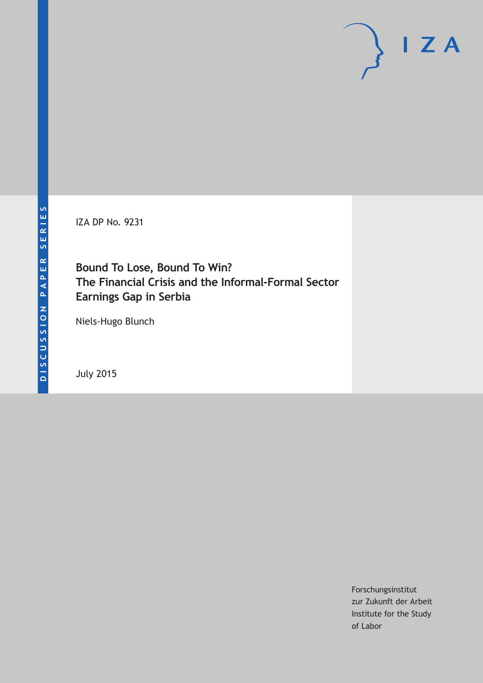IZA DP No. 9231

## **Bound To Lose, Bound To Win? The Financial Crisis and the Informal-Formal Sector Earnings Gap in Serbia**

Niels-Hugo Blunch

July 2015

Forschungsinstitut zur Zukunft der Arbeit Institute for the Study of Labor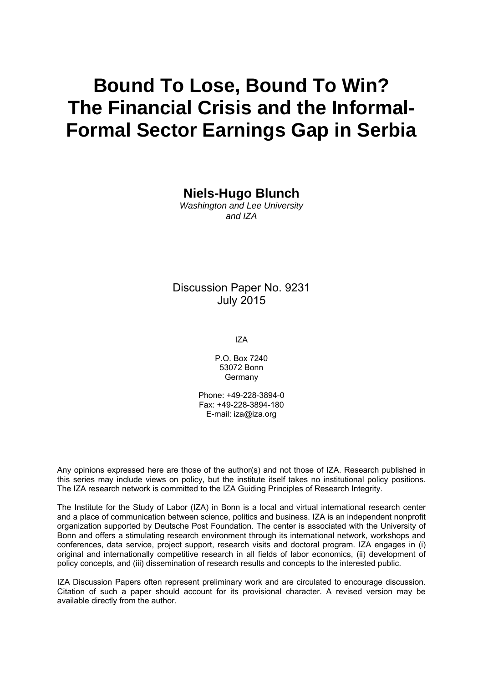# **Bound To Lose, Bound To Win? The Financial Crisis and the Informal-Formal Sector Earnings Gap in Serbia**

**Niels-Hugo Blunch** 

*Washington and Lee University and IZA* 

Discussion Paper No. 9231 July 2015

IZA

P.O. Box 7240 53072 Bonn Germany

Phone: +49-228-3894-0 Fax: +49-228-3894-180 E-mail: iza@iza.org

Any opinions expressed here are those of the author(s) and not those of IZA. Research published in this series may include views on policy, but the institute itself takes no institutional policy positions. The IZA research network is committed to the IZA Guiding Principles of Research Integrity.

The Institute for the Study of Labor (IZA) in Bonn is a local and virtual international research center and a place of communication between science, politics and business. IZA is an independent nonprofit organization supported by Deutsche Post Foundation. The center is associated with the University of Bonn and offers a stimulating research environment through its international network, workshops and conferences, data service, project support, research visits and doctoral program. IZA engages in (i) original and internationally competitive research in all fields of labor economics, (ii) development of policy concepts, and (iii) dissemination of research results and concepts to the interested public.

IZA Discussion Papers often represent preliminary work and are circulated to encourage discussion. Citation of such a paper should account for its provisional character. A revised version may be available directly from the author.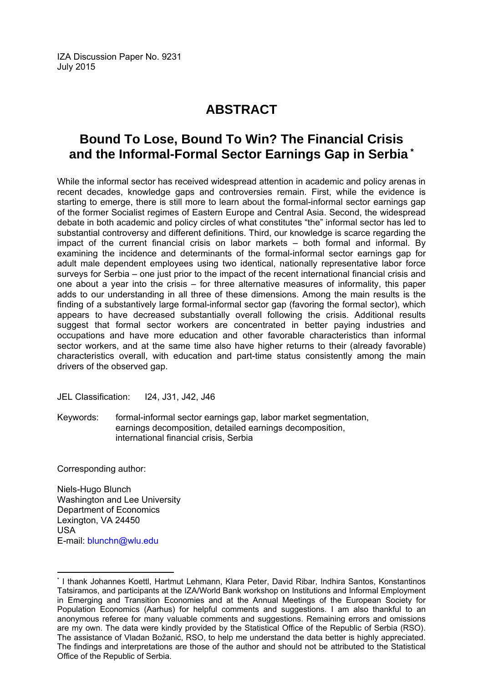IZA Discussion Paper No. 9231 July 2015

# **ABSTRACT**

# **Bound To Lose, Bound To Win? The Financial Crisis and the Informal-Formal Sector Earnings Gap in Serbia \***

While the informal sector has received widespread attention in academic and policy arenas in recent decades, knowledge gaps and controversies remain. First, while the evidence is starting to emerge, there is still more to learn about the formal-informal sector earnings gap of the former Socialist regimes of Eastern Europe and Central Asia. Second, the widespread debate in both academic and policy circles of what constitutes "the" informal sector has led to substantial controversy and different definitions. Third, our knowledge is scarce regarding the impact of the current financial crisis on labor markets – both formal and informal. By examining the incidence and determinants of the formal-informal sector earnings gap for adult male dependent employees using two identical, nationally representative labor force surveys for Serbia – one just prior to the impact of the recent international financial crisis and one about a year into the crisis – for three alternative measures of informality, this paper adds to our understanding in all three of these dimensions. Among the main results is the finding of a substantively large formal-informal sector gap (favoring the formal sector), which appears to have decreased substantially overall following the crisis. Additional results suggest that formal sector workers are concentrated in better paying industries and occupations and have more education and other favorable characteristics than informal sector workers, and at the same time also have higher returns to their (already favorable) characteristics overall, with education and part-time status consistently among the main drivers of the observed gap.

JEL Classification: I24, J31, J42, J46

Keywords: formal-informal sector earnings gap, labor market segmentation, earnings decomposition, detailed earnings decomposition, international financial crisis, Serbia

Corresponding author:

 $\overline{a}$ 

Niels-Hugo Blunch Washington and Lee University Department of Economics Lexington, VA 24450 USA E-mail: blunchn@wlu.edu

<sup>\*</sup> I thank Johannes Koettl, Hartmut Lehmann, Klara Peter, David Ribar, Indhira Santos, Konstantinos Tatsiramos, and participants at the IZA/World Bank workshop on Institutions and Informal Employment in Emerging and Transition Economies and at the Annual Meetings of the European Society for Population Economics (Aarhus) for helpful comments and suggestions. I am also thankful to an anonymous referee for many valuable comments and suggestions. Remaining errors and omissions are my own. The data were kindly provided by the Statistical Office of the Republic of Serbia (RSO). The assistance of Vladan Božanić, RSO, to help me understand the data better is highly appreciated. The findings and interpretations are those of the author and should not be attributed to the Statistical Office of the Republic of Serbia.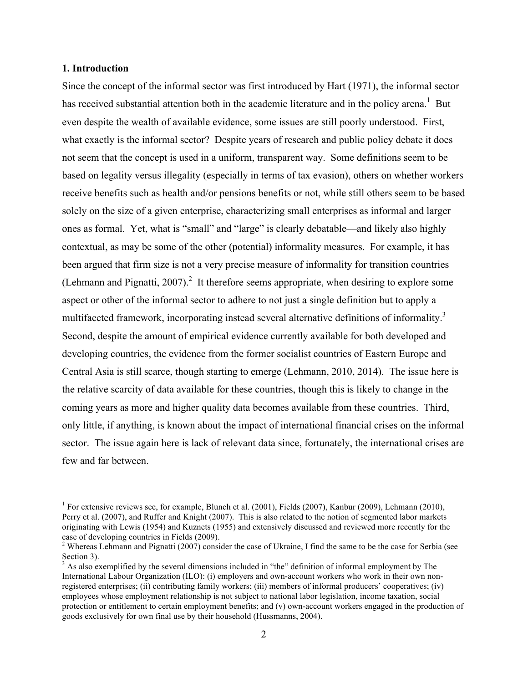#### **1. Introduction**

Since the concept of the informal sector was first introduced by Hart (1971), the informal sector has received substantial attention both in the academic literature and in the policy arena.<sup>1</sup> But even despite the wealth of available evidence, some issues are still poorly understood. First, what exactly is the informal sector? Despite years of research and public policy debate it does not seem that the concept is used in a uniform, transparent way. Some definitions seem to be based on legality versus illegality (especially in terms of tax evasion), others on whether workers receive benefits such as health and/or pensions benefits or not, while still others seem to be based solely on the size of a given enterprise, characterizing small enterprises as informal and larger ones as formal. Yet, what is "small" and "large" is clearly debatable—and likely also highly contextual, as may be some of the other (potential) informality measures. For example, it has been argued that firm size is not a very precise measure of informality for transition countries (Lehmann and Pignatti, 2007).<sup>2</sup> It therefore seems appropriate, when desiring to explore some aspect or other of the informal sector to adhere to not just a single definition but to apply a multifaceted framework, incorporating instead several alternative definitions of informality.<sup>3</sup> Second, despite the amount of empirical evidence currently available for both developed and developing countries, the evidence from the former socialist countries of Eastern Europe and Central Asia is still scarce, though starting to emerge (Lehmann, 2010, 2014). The issue here is the relative scarcity of data available for these countries, though this is likely to change in the coming years as more and higher quality data becomes available from these countries. Third, only little, if anything, is known about the impact of international financial crises on the informal sector. The issue again here is lack of relevant data since, fortunately, the international crises are few and far between.

<sup>&</sup>lt;sup>1</sup> For extensive reviews see, for example, Blunch et al. (2001), Fields (2007), Kanbur (2009), Lehmann (2010), Perry et al. (2007), and Ruffer and Knight (2007). This is also related to the notion of segmented labor markets originating with Lewis (1954) and Kuznets (1955) and extensively discussed and reviewed more recently for the case of developing countries in Fields (2009).<br><sup>2</sup> Whereas Lehmann and Pignatti (2007) consider the case of Ukraine, I find the same to be the case for Serbia (see

Section 3).

 $3$  As also exemplified by the several dimensions included in "the" definition of informal employment by The International Labour Organization (ILO): (i) employers and own-account workers who work in their own nonregistered enterprises; (ii) contributing family workers; (iii) members of informal producers' cooperatives; (iv) employees whose employment relationship is not subject to national labor legislation, income taxation, social protection or entitlement to certain employment benefits; and (v) own-account workers engaged in the production of goods exclusively for own final use by their household (Hussmanns, 2004).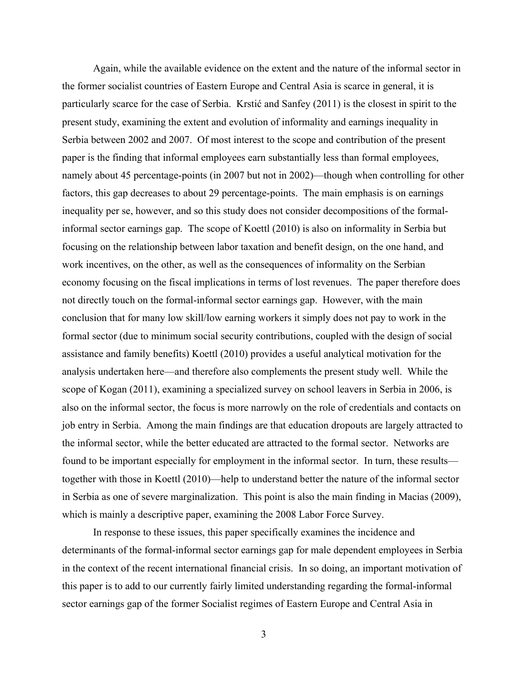Again, while the available evidence on the extent and the nature of the informal sector in the former socialist countries of Eastern Europe and Central Asia is scarce in general, it is particularly scarce for the case of Serbia. Krstić and Sanfey (2011) is the closest in spirit to the present study, examining the extent and evolution of informality and earnings inequality in Serbia between 2002 and 2007. Of most interest to the scope and contribution of the present paper is the finding that informal employees earn substantially less than formal employees, namely about 45 percentage-points (in 2007 but not in 2002)—though when controlling for other factors, this gap decreases to about 29 percentage-points. The main emphasis is on earnings inequality per se, however, and so this study does not consider decompositions of the formalinformal sector earnings gap. The scope of Koettl (2010) is also on informality in Serbia but focusing on the relationship between labor taxation and benefit design, on the one hand, and work incentives, on the other, as well as the consequences of informality on the Serbian economy focusing on the fiscal implications in terms of lost revenues. The paper therefore does not directly touch on the formal-informal sector earnings gap. However, with the main conclusion that for many low skill/low earning workers it simply does not pay to work in the formal sector (due to minimum social security contributions, coupled with the design of social assistance and family benefits) Koettl (2010) provides a useful analytical motivation for the analysis undertaken here—and therefore also complements the present study well. While the scope of Kogan (2011), examining a specialized survey on school leavers in Serbia in 2006, is also on the informal sector, the focus is more narrowly on the role of credentials and contacts on job entry in Serbia. Among the main findings are that education dropouts are largely attracted to the informal sector, while the better educated are attracted to the formal sector. Networks are found to be important especially for employment in the informal sector. In turn, these results together with those in Koettl (2010)—help to understand better the nature of the informal sector in Serbia as one of severe marginalization. This point is also the main finding in Macias (2009), which is mainly a descriptive paper, examining the 2008 Labor Force Survey.

In response to these issues, this paper specifically examines the incidence and determinants of the formal-informal sector earnings gap for male dependent employees in Serbia in the context of the recent international financial crisis. In so doing, an important motivation of this paper is to add to our currently fairly limited understanding regarding the formal-informal sector earnings gap of the former Socialist regimes of Eastern Europe and Central Asia in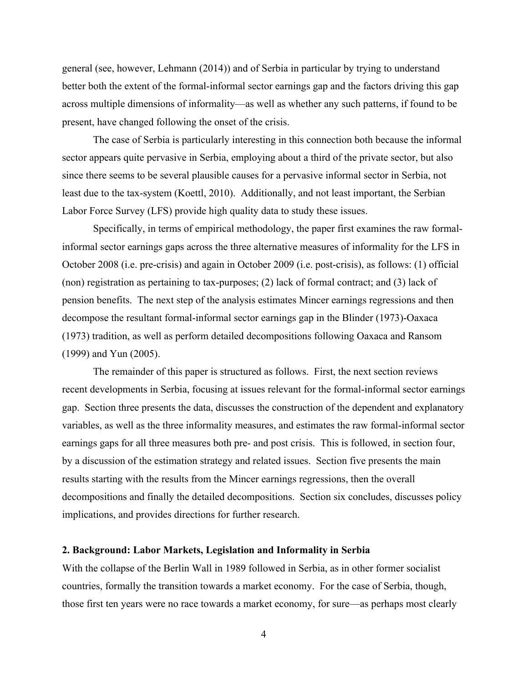general (see, however, Lehmann (2014)) and of Serbia in particular by trying to understand better both the extent of the formal-informal sector earnings gap and the factors driving this gap across multiple dimensions of informality—as well as whether any such patterns, if found to be present, have changed following the onset of the crisis.

The case of Serbia is particularly interesting in this connection both because the informal sector appears quite pervasive in Serbia, employing about a third of the private sector, but also since there seems to be several plausible causes for a pervasive informal sector in Serbia, not least due to the tax-system (Koettl, 2010). Additionally, and not least important, the Serbian Labor Force Survey (LFS) provide high quality data to study these issues.

Specifically, in terms of empirical methodology, the paper first examines the raw formalinformal sector earnings gaps across the three alternative measures of informality for the LFS in October 2008 (i.e. pre-crisis) and again in October 2009 (i.e. post-crisis), as follows: (1) official (non) registration as pertaining to tax-purposes; (2) lack of formal contract; and (3) lack of pension benefits. The next step of the analysis estimates Mincer earnings regressions and then decompose the resultant formal-informal sector earnings gap in the Blinder (1973)-Oaxaca (1973) tradition, as well as perform detailed decompositions following Oaxaca and Ransom (1999) and Yun (2005).

The remainder of this paper is structured as follows. First, the next section reviews recent developments in Serbia, focusing at issues relevant for the formal-informal sector earnings gap. Section three presents the data, discusses the construction of the dependent and explanatory variables, as well as the three informality measures, and estimates the raw formal-informal sector earnings gaps for all three measures both pre- and post crisis. This is followed, in section four, by a discussion of the estimation strategy and related issues. Section five presents the main results starting with the results from the Mincer earnings regressions, then the overall decompositions and finally the detailed decompositions. Section six concludes, discusses policy implications, and provides directions for further research.

#### **2. Background: Labor Markets, Legislation and Informality in Serbia**

With the collapse of the Berlin Wall in 1989 followed in Serbia, as in other former socialist countries, formally the transition towards a market economy. For the case of Serbia, though, those first ten years were no race towards a market economy, for sure—as perhaps most clearly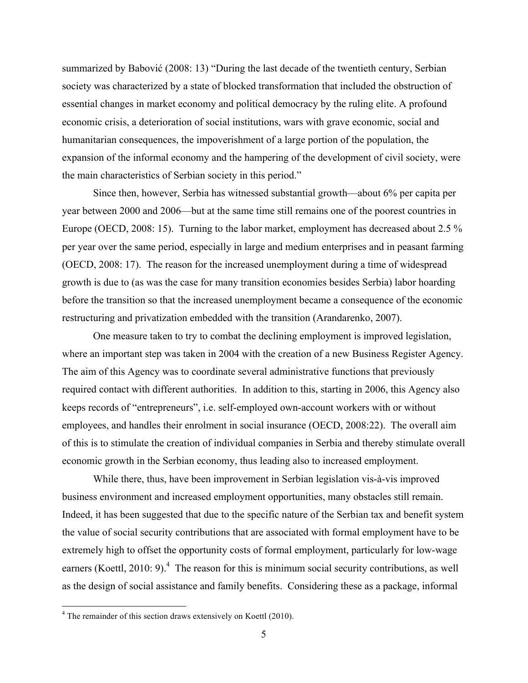summarized by Babović (2008: 13) "During the last decade of the twentieth century, Serbian society was characterized by a state of blocked transformation that included the obstruction of essential changes in market economy and political democracy by the ruling elite. A profound economic crisis, a deterioration of social institutions, wars with grave economic, social and humanitarian consequences, the impoverishment of a large portion of the population, the expansion of the informal economy and the hampering of the development of civil society, were the main characteristics of Serbian society in this period."

Since then, however, Serbia has witnessed substantial growth—about 6% per capita per year between 2000 and 2006—but at the same time still remains one of the poorest countries in Europe (OECD, 2008: 15). Turning to the labor market, employment has decreased about 2.5 % per year over the same period, especially in large and medium enterprises and in peasant farming (OECD, 2008: 17). The reason for the increased unemployment during a time of widespread growth is due to (as was the case for many transition economies besides Serbia) labor hoarding before the transition so that the increased unemployment became a consequence of the economic restructuring and privatization embedded with the transition (Arandarenko, 2007).

One measure taken to try to combat the declining employment is improved legislation, where an important step was taken in 2004 with the creation of a new Business Register Agency. The aim of this Agency was to coordinate several administrative functions that previously required contact with different authorities. In addition to this, starting in 2006, this Agency also keeps records of "entrepreneurs", i.e. self-employed own-account workers with or without employees, and handles their enrolment in social insurance (OECD, 2008:22). The overall aim of this is to stimulate the creation of individual companies in Serbia and thereby stimulate overall economic growth in the Serbian economy, thus leading also to increased employment.

While there, thus, have been improvement in Serbian legislation vis-à-vis improved business environment and increased employment opportunities, many obstacles still remain. Indeed, it has been suggested that due to the specific nature of the Serbian tax and benefit system the value of social security contributions that are associated with formal employment have to be extremely high to offset the opportunity costs of formal employment, particularly for low-wage earners (Koettl, 2010: 9).<sup>4</sup> The reason for this is minimum social security contributions, as well as the design of social assistance and family benefits. Considering these as a package, informal

 $4$  The remainder of this section draws extensively on Koettl (2010).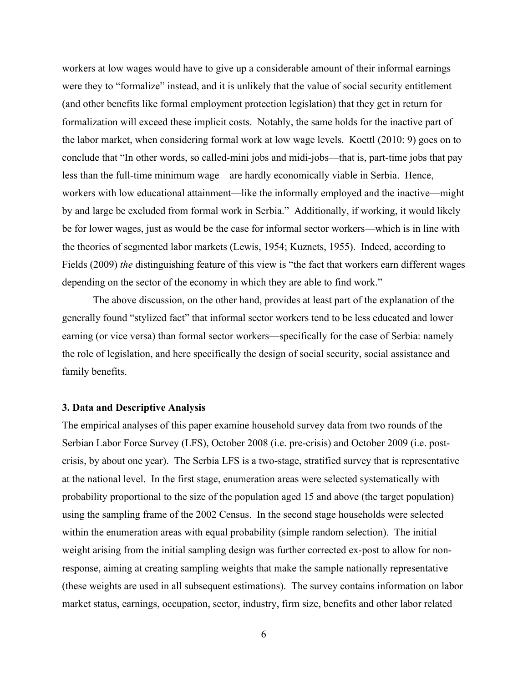workers at low wages would have to give up a considerable amount of their informal earnings were they to "formalize" instead, and it is unlikely that the value of social security entitlement (and other benefits like formal employment protection legislation) that they get in return for formalization will exceed these implicit costs. Notably, the same holds for the inactive part of the labor market, when considering formal work at low wage levels. Koettl (2010: 9) goes on to conclude that "In other words, so called-mini jobs and midi-jobs—that is, part-time jobs that pay less than the full-time minimum wage—are hardly economically viable in Serbia. Hence, workers with low educational attainment—like the informally employed and the inactive—might by and large be excluded from formal work in Serbia." Additionally, if working, it would likely be for lower wages, just as would be the case for informal sector workers—which is in line with the theories of segmented labor markets (Lewis, 1954; Kuznets, 1955). Indeed, according to Fields (2009) *the* distinguishing feature of this view is "the fact that workers earn different wages depending on the sector of the economy in which they are able to find work."

The above discussion, on the other hand, provides at least part of the explanation of the generally found "stylized fact" that informal sector workers tend to be less educated and lower earning (or vice versa) than formal sector workers—specifically for the case of Serbia: namely the role of legislation, and here specifically the design of social security, social assistance and family benefits.

#### **3. Data and Descriptive Analysis**

The empirical analyses of this paper examine household survey data from two rounds of the Serbian Labor Force Survey (LFS), October 2008 (i.e. pre-crisis) and October 2009 (i.e. postcrisis, by about one year). The Serbia LFS is a two-stage, stratified survey that is representative at the national level. In the first stage, enumeration areas were selected systematically with probability proportional to the size of the population aged 15 and above (the target population) using the sampling frame of the 2002 Census. In the second stage households were selected within the enumeration areas with equal probability (simple random selection). The initial weight arising from the initial sampling design was further corrected ex-post to allow for nonresponse, aiming at creating sampling weights that make the sample nationally representative (these weights are used in all subsequent estimations). The survey contains information on labor market status, earnings, occupation, sector, industry, firm size, benefits and other labor related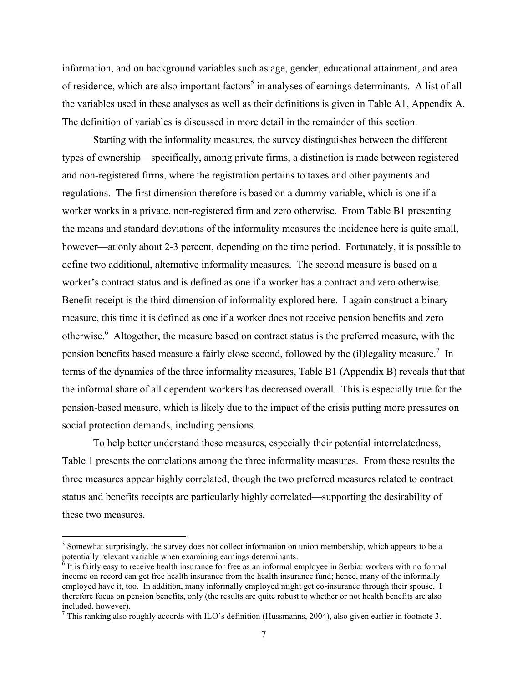information, and on background variables such as age, gender, educational attainment, and area of residence, which are also important factors<sup>5</sup> in analyses of earnings determinants. A list of all the variables used in these analyses as well as their definitions is given in Table A1, Appendix A. The definition of variables is discussed in more detail in the remainder of this section.

Starting with the informality measures, the survey distinguishes between the different types of ownership—specifically, among private firms, a distinction is made between registered and non-registered firms, where the registration pertains to taxes and other payments and regulations. The first dimension therefore is based on a dummy variable, which is one if a worker works in a private, non-registered firm and zero otherwise. From Table B1 presenting the means and standard deviations of the informality measures the incidence here is quite small, however—at only about 2-3 percent, depending on the time period. Fortunately, it is possible to define two additional, alternative informality measures. The second measure is based on a worker's contract status and is defined as one if a worker has a contract and zero otherwise. Benefit receipt is the third dimension of informality explored here. I again construct a binary measure, this time it is defined as one if a worker does not receive pension benefits and zero otherwise.<sup>6</sup> Altogether, the measure based on contract status is the preferred measure, with the pension benefits based measure a fairly close second, followed by the (il)legality measure.<sup>7</sup> In terms of the dynamics of the three informality measures, Table B1 (Appendix B) reveals that that the informal share of all dependent workers has decreased overall. This is especially true for the pension-based measure, which is likely due to the impact of the crisis putting more pressures on social protection demands, including pensions.

To help better understand these measures, especially their potential interrelatedness, Table 1 presents the correlations among the three informality measures. From these results the three measures appear highly correlated, though the two preferred measures related to contract status and benefits receipts are particularly highly correlated—supporting the desirability of these two measures.

 $<sup>5</sup>$  Somewhat surprisingly, the survey does not collect information on union membership, which appears to be a potentially relevant variable when examining earnings determinants.</sup>

 $\delta$  It is fairly easy to receive health insurance for free as an informal employee in Serbia: workers with no formal income on record can get free health insurance from the health insurance fund; hence, many of the informally employed have it, too. In addition, many informally employed might get co-insurance through their spouse. I therefore focus on pension benefits, only (the results are quite robust to whether or not health benefits are also included, however).

<sup>&</sup>lt;sup>7</sup> This ranking also roughly accords with ILO's definition (Hussmanns, 2004), also given earlier in footnote 3.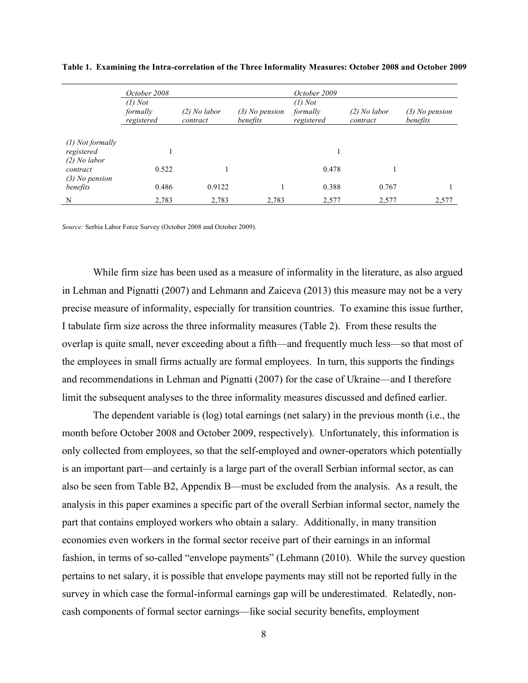|                                                | October 2008<br>$(1)$ Not |                            |                              | October 2009<br>$(1)$ Not |                            |                              |  |
|------------------------------------------------|---------------------------|----------------------------|------------------------------|---------------------------|----------------------------|------------------------------|--|
|                                                | formally<br>registered    | $(2)$ No labor<br>contract | $(3)$ No pension<br>benefits | formally<br>registered    | $(2)$ No labor<br>contract | $(3)$ No pension<br>benefits |  |
|                                                |                           |                            |                              |                           |                            |                              |  |
| $(1)$ Not formally<br>registered               |                           |                            |                              |                           |                            |                              |  |
| $(2)$ No labor<br>contract<br>$(3)$ No pension | 0.522                     |                            |                              | 0.478                     |                            |                              |  |
| benefits                                       | 0.486                     | 0.9122                     |                              | 0.388                     | 0.767                      |                              |  |
| N                                              | 2,783                     | 2,783                      | 2,783                        | 2,577                     | 2,577                      | 2,577                        |  |

**Table 1. Examining the Intra-correlation of the Three Informality Measures: October 2008 and October 2009**

*Source:* Serbia Labor Force Survey (October 2008 and October 2009).

While firm size has been used as a measure of informality in the literature, as also argued in Lehman and Pignatti (2007) and Lehmann and Zaiceva (2013) this measure may not be a very precise measure of informality, especially for transition countries. To examine this issue further, I tabulate firm size across the three informality measures (Table 2). From these results the overlap is quite small, never exceeding about a fifth—and frequently much less—so that most of the employees in small firms actually are formal employees. In turn, this supports the findings and recommendations in Lehman and Pignatti (2007) for the case of Ukraine—and I therefore limit the subsequent analyses to the three informality measures discussed and defined earlier.

The dependent variable is (log) total earnings (net salary) in the previous month (i.e., the month before October 2008 and October 2009, respectively). Unfortunately, this information is only collected from employees, so that the self-employed and owner-operators which potentially is an important part—and certainly is a large part of the overall Serbian informal sector, as can also be seen from Table B2, Appendix B—must be excluded from the analysis. As a result, the analysis in this paper examines a specific part of the overall Serbian informal sector, namely the part that contains employed workers who obtain a salary. Additionally, in many transition economies even workers in the formal sector receive part of their earnings in an informal fashion, in terms of so-called "envelope payments" (Lehmann (2010). While the survey question pertains to net salary, it is possible that envelope payments may still not be reported fully in the survey in which case the formal-informal earnings gap will be underestimated. Relatedly, noncash components of formal sector earnings—like social security benefits, employment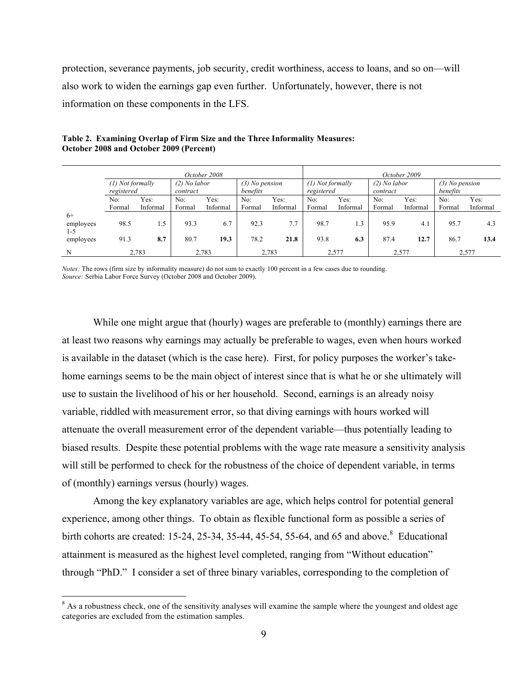protection, severance payments, job security, credit worthiness, access to loans, and so on—will also work to widen the earnings gap even further. Unfortunately, however, there is not information on these components in the LFS.

|           | October 2008 |                                      |                |          |                  |                |            | October 2009                                             |          |          |          |          |
|-----------|--------------|--------------------------------------|----------------|----------|------------------|----------------|------------|----------------------------------------------------------|----------|----------|----------|----------|
|           |              | $(2)$ No labor<br>$(1)$ Not formally |                |          | $(3)$ No pension |                |            | $(2)$ No labor<br>$(1)$ Not formally<br>$(3)$ No pension |          |          |          |          |
|           | registered   |                                      | contract       |          | benefits         |                | registered |                                                          | contract |          | benefits |          |
|           | No:          | Yes:                                 | No:            | Yes:     | No:              | Yes:           | No:        | Yes:                                                     | No:      | Yes:     | No:      | Yes:     |
|           | Formal       | Informal                             | Formal         | Informal | Formal           | Informal       | Formal     | Informal                                                 | Formal   | Informal | Formal   | Informal |
| $6+$      |              |                                      |                |          |                  |                |            |                                                          |          |          |          |          |
| employees | 98.5         | 1.5                                  | 93.3           | 6.7      | 92.3             | 7.7            | 98.7       | 1.3                                                      | 95.9     | 4.1      | 95.7     | 4.3      |
| 1-5       |              |                                      |                |          |                  |                |            |                                                          |          |          |          |          |
| employees | 91.3         | 8.7                                  | 80.7           | 19.3     | 78.2             | 21.8           | 93.8       | 6.3                                                      | 87.4     | 12.7     | 86.7     | 13.4     |
| N         |              | 2,783                                | 2,783<br>2,783 |          |                  | 2,577<br>2,577 |            | 2,577                                                    |          |          |          |          |

**Table 2. Examining Overlap of Firm Size and the Three Informality Measures: October 2008 and October 2009 (Percent)**

*Notes:* The rows (firm size by informality measure) do not sum to exactly 100 percent in a few cases due to rounding. *Source:* Serbia Labor Force Survey (October 2008 and October 2009).

While one might argue that (hourly) wages are preferable to (monthly) earnings there are at least two reasons why earnings may actually be preferable to wages, even when hours worked is available in the dataset (which is the case here). First, for policy purposes the worker's takehome earnings seems to be the main object of interest since that is what he or she ultimately will use to sustain the livelihood of his or her household. Second, earnings is an already noisy variable, riddled with measurement error, so that diving earnings with hours worked will attenuate the overall measurement error of the dependent variable—thus potentially leading to biased results. Despite these potential problems with the wage rate measure a sensitivity analysis will still be performed to check for the robustness of the choice of dependent variable, in terms of (monthly) earnings versus (hourly) wages.

Among the key explanatory variables are age, which helps control for potential general experience, among other things. To obtain as flexible functional form as possible a series of birth cohorts are created: 15-24, 25-34, 35-44, 45-54, 55-64, and 65 and above.<sup>8</sup> Educational attainment is measured as the highest level completed, ranging from "Without education" through "PhD." I consider a set of three binary variables, corresponding to the completion of

<sup>&</sup>lt;sup>8</sup> As a robustness check, one of the sensitivity analyses will examine the sample where the youngest and oldest age categories are excluded from the estimation samples.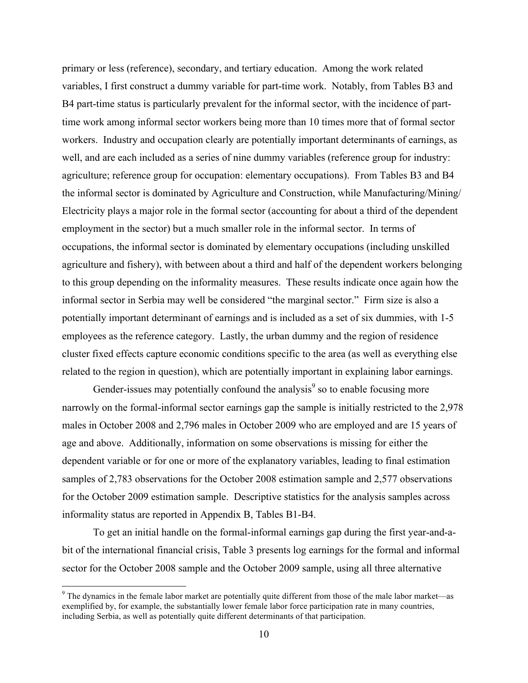primary or less (reference), secondary, and tertiary education. Among the work related variables, I first construct a dummy variable for part-time work. Notably, from Tables B3 and B4 part-time status is particularly prevalent for the informal sector, with the incidence of parttime work among informal sector workers being more than 10 times more that of formal sector workers. Industry and occupation clearly are potentially important determinants of earnings, as well, and are each included as a series of nine dummy variables (reference group for industry: agriculture; reference group for occupation: elementary occupations). From Tables B3 and B4 the informal sector is dominated by Agriculture and Construction, while Manufacturing/Mining/ Electricity plays a major role in the formal sector (accounting for about a third of the dependent employment in the sector) but a much smaller role in the informal sector. In terms of occupations, the informal sector is dominated by elementary occupations (including unskilled agriculture and fishery), with between about a third and half of the dependent workers belonging to this group depending on the informality measures. These results indicate once again how the informal sector in Serbia may well be considered "the marginal sector." Firm size is also a potentially important determinant of earnings and is included as a set of six dummies, with 1-5 employees as the reference category. Lastly, the urban dummy and the region of residence cluster fixed effects capture economic conditions specific to the area (as well as everything else related to the region in question), which are potentially important in explaining labor earnings.

Gender-issues may potentially confound the analysis $\degree$  so to enable focusing more narrowly on the formal-informal sector earnings gap the sample is initially restricted to the 2,978 males in October 2008 and 2,796 males in October 2009 who are employed and are 15 years of age and above. Additionally, information on some observations is missing for either the dependent variable or for one or more of the explanatory variables, leading to final estimation samples of 2,783 observations for the October 2008 estimation sample and 2,577 observations for the October 2009 estimation sample. Descriptive statistics for the analysis samples across informality status are reported in Appendix B, Tables B1-B4.

To get an initial handle on the formal-informal earnings gap during the first year-and-abit of the international financial crisis, Table 3 presents log earnings for the formal and informal sector for the October 2008 sample and the October 2009 sample, using all three alternative

 $9$  The dynamics in the female labor market are potentially quite different from those of the male labor market—as exemplified by, for example, the substantially lower female labor force participation rate in many countries, including Serbia, as well as potentially quite different determinants of that participation.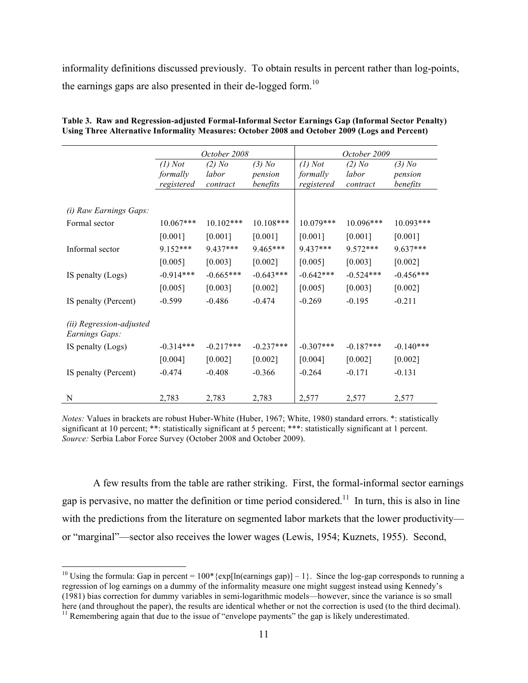informality definitions discussed previously. To obtain results in percent rather than log-points, the earnings gaps are also presented in their de-logged form.<sup>10</sup>

|             |             |             |                                   | October 2009 |             |
|-------------|-------------|-------------|-----------------------------------|--------------|-------------|
| $(1)$ Not   | $(2)$ No    | $(3)$ No    | $(1)$ Not                         | $(2)$ No     | $(3)$ No    |
| formally    | labor       | pension     | formally                          | labor        | pension     |
| registered  | contract    |             | registered                        | contract     | benefits    |
|             |             |             |                                   |              |             |
|             |             |             |                                   |              |             |
| $10.067***$ | $10.102***$ | $10.108***$ | $10.079***$                       | $10.096***$  | $10.093***$ |
| [0.001]     | [0.001]     | [0.001]     | [0.001]                           | [0.001]      | [0.001]     |
| 9.152***    | 9.437***    | 9.465***    | 9.437***                          | 9.572***     | $9.637***$  |
| [0.005]     | $[0.003]$   | $[0.002]$   | [0.005]                           | [0.003]      | [0.002]     |
| $-0.914***$ | $-0.665***$ | $-0.643***$ | $-0.642***$                       | $-0.524***$  | $-0.456***$ |
| [0.005]     | [0.003]     | $[0.002]$   | [0.005]                           | [0.003]      | [0.002]     |
| $-0.599$    | $-0.486$    | $-0.474$    | $-0.269$                          | $-0.195$     | $-0.211$    |
|             |             |             |                                   |              |             |
|             |             |             |                                   |              |             |
| $-0.314***$ | $-0.217***$ | $-0.237***$ | $-0.307***$                       | $-0.187***$  | $-0.140***$ |
| $[0.004]$   | [0.002]     | [0.002]     | [0.004]                           | [0.002]      | [0.002]     |
| $-0.474$    | $-0.408$    | $-0.366$    | $-0.264$                          | $-0.171$     | $-0.131$    |
|             |             |             |                                   |              | 2,577       |
|             | 2,783       | 2,783       | October 2008<br>benefits<br>2,783 | 2,577        | 2,577       |

**Table 3. Raw and Regression-adjusted Formal-Informal Sector Earnings Gap (Informal Sector Penalty) Using Three Alternative Informality Measures: October 2008 and October 2009 (Logs and Percent)**

*Notes:* Values in brackets are robust Huber-White (Huber, 1967; White, 1980) standard errors. \*: statistically significant at 10 percent; \*\*: statistically significant at 5 percent; \*\*\*: statistically significant at 1 percent. *Source:* Serbia Labor Force Survey (October 2008 and October 2009).

A few results from the table are rather striking. First, the formal-informal sector earnings gap is pervasive, no matter the definition or time period considered.<sup>11</sup> In turn, this is also in line with the predictions from the literature on segmented labor markets that the lower productivity or "marginal"—sector also receives the lower wages (Lewis, 1954; Kuznets, 1955). Second,

<sup>&</sup>lt;sup>10</sup> Using the formula: Gap in percent =  $100*$ {exp[ln(earnings gap)] – 1}. Since the log-gap corresponds to running a regression of log earnings on a dummy of the informality measure one might suggest instead using Kennedy's (1981) bias correction for dummy variables in semi-logarithmic models—however, since the variance is so small

 $11$  Remembering again that due to the issue of "envelope payments" the gap is likely underestimated.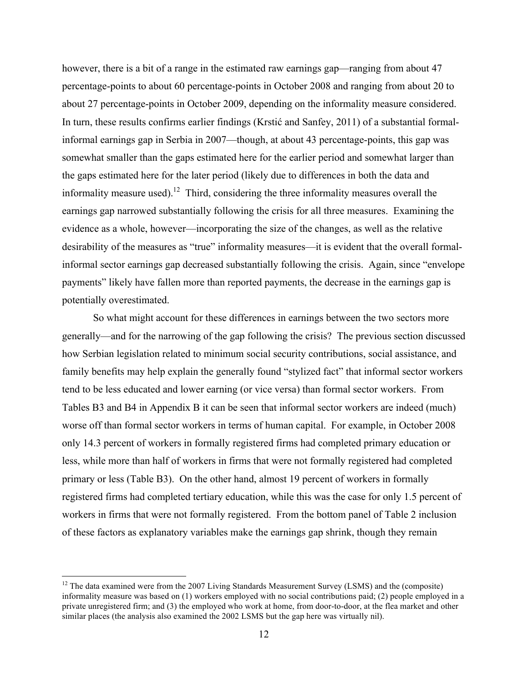however, there is a bit of a range in the estimated raw earnings gap—ranging from about 47 percentage-points to about 60 percentage-points in October 2008 and ranging from about 20 to about 27 percentage-points in October 2009, depending on the informality measure considered. In turn, these results confirms earlier findings (Krstić and Sanfey, 2011) of a substantial formalinformal earnings gap in Serbia in 2007—though, at about 43 percentage-points, this gap was somewhat smaller than the gaps estimated here for the earlier period and somewhat larger than the gaps estimated here for the later period (likely due to differences in both the data and informality measure used).<sup>12</sup> Third, considering the three informality measures overall the earnings gap narrowed substantially following the crisis for all three measures. Examining the evidence as a whole, however—incorporating the size of the changes, as well as the relative desirability of the measures as "true" informality measures—it is evident that the overall formalinformal sector earnings gap decreased substantially following the crisis. Again, since "envelope payments" likely have fallen more than reported payments, the decrease in the earnings gap is potentially overestimated.

So what might account for these differences in earnings between the two sectors more generally—and for the narrowing of the gap following the crisis? The previous section discussed how Serbian legislation related to minimum social security contributions, social assistance, and family benefits may help explain the generally found "stylized fact" that informal sector workers tend to be less educated and lower earning (or vice versa) than formal sector workers. From Tables B3 and B4 in Appendix B it can be seen that informal sector workers are indeed (much) worse off than formal sector workers in terms of human capital. For example, in October 2008 only 14.3 percent of workers in formally registered firms had completed primary education or less, while more than half of workers in firms that were not formally registered had completed primary or less (Table B3). On the other hand, almost 19 percent of workers in formally registered firms had completed tertiary education, while this was the case for only 1.5 percent of workers in firms that were not formally registered. From the bottom panel of Table 2 inclusion of these factors as explanatory variables make the earnings gap shrink, though they remain

 $12$  The data examined were from the 2007 Living Standards Measurement Survey (LSMS) and the (composite) informality measure was based on (1) workers employed with no social contributions paid; (2) people employed in a private unregistered firm; and (3) the employed who work at home, from door-to-door, at the flea market and other similar places (the analysis also examined the 2002 LSMS but the gap here was virtually nil).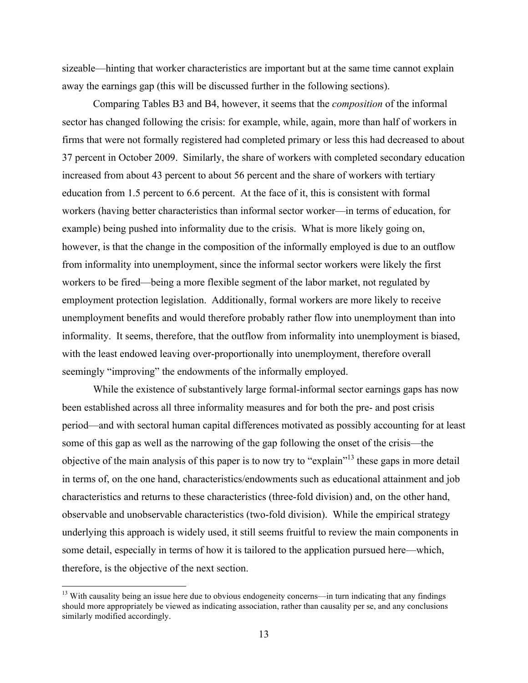sizeable—hinting that worker characteristics are important but at the same time cannot explain away the earnings gap (this will be discussed further in the following sections).

Comparing Tables B3 and B4, however, it seems that the *composition* of the informal sector has changed following the crisis: for example, while, again, more than half of workers in firms that were not formally registered had completed primary or less this had decreased to about 37 percent in October 2009. Similarly, the share of workers with completed secondary education increased from about 43 percent to about 56 percent and the share of workers with tertiary education from 1.5 percent to 6.6 percent. At the face of it, this is consistent with formal workers (having better characteristics than informal sector worker—in terms of education, for example) being pushed into informality due to the crisis. What is more likely going on, however, is that the change in the composition of the informally employed is due to an outflow from informality into unemployment, since the informal sector workers were likely the first workers to be fired—being a more flexible segment of the labor market, not regulated by employment protection legislation. Additionally, formal workers are more likely to receive unemployment benefits and would therefore probably rather flow into unemployment than into informality. It seems, therefore, that the outflow from informality into unemployment is biased, with the least endowed leaving over-proportionally into unemployment, therefore overall seemingly "improving" the endowments of the informally employed.

While the existence of substantively large formal-informal sector earnings gaps has now been established across all three informality measures and for both the pre- and post crisis period—and with sectoral human capital differences motivated as possibly accounting for at least some of this gap as well as the narrowing of the gap following the onset of the crisis—the objective of the main analysis of this paper is to now try to "explain"<sup>13</sup> these gaps in more detail in terms of, on the one hand, characteristics/endowments such as educational attainment and job characteristics and returns to these characteristics (three-fold division) and, on the other hand, observable and unobservable characteristics (two-fold division). While the empirical strategy underlying this approach is widely used, it still seems fruitful to review the main components in some detail, especially in terms of how it is tailored to the application pursued here—which, therefore, is the objective of the next section.

<sup>&</sup>lt;sup>13</sup> With causality being an issue here due to obvious endogeneity concerns—in turn indicating that any findings should more appropriately be viewed as indicating association, rather than causality per se, and any conclusions similarly modified accordingly.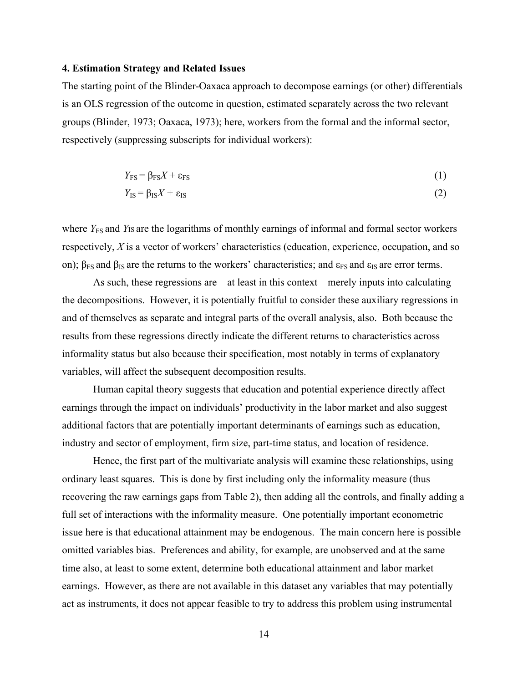#### **4. Estimation Strategy and Related Issues**

The starting point of the Blinder-Oaxaca approach to decompose earnings (or other) differentials is an OLS regression of the outcome in question, estimated separately across the two relevant groups (Blinder, 1973; Oaxaca, 1973); here, workers from the formal and the informal sector, respectively (suppressing subscripts for individual workers):

$$
Y_{\rm FS} = \beta_{\rm FS} X + \varepsilon_{\rm FS} \tag{1}
$$

$$
Y_{\rm IS} = \beta_{\rm IS} X + \varepsilon_{\rm IS} \tag{2}
$$

where *Y*<sub>FS</sub> and *Y*<sub>IS</sub> are the logarithms of monthly earnings of informal and formal sector workers respectively, *X* is a vector of workers' characteristics (education, experience, occupation, and so on);  $\beta_{FS}$  and  $\beta_{IS}$  are the returns to the workers' characteristics; and  $\epsilon_{FS}$  and  $\epsilon_{IS}$  are error terms.

As such, these regressions are—at least in this context—merely inputs into calculating the decompositions. However, it is potentially fruitful to consider these auxiliary regressions in and of themselves as separate and integral parts of the overall analysis, also. Both because the results from these regressions directly indicate the different returns to characteristics across informality status but also because their specification, most notably in terms of explanatory variables, will affect the subsequent decomposition results.

Human capital theory suggests that education and potential experience directly affect earnings through the impact on individuals' productivity in the labor market and also suggest additional factors that are potentially important determinants of earnings such as education, industry and sector of employment, firm size, part-time status, and location of residence.

Hence, the first part of the multivariate analysis will examine these relationships, using ordinary least squares. This is done by first including only the informality measure (thus recovering the raw earnings gaps from Table 2), then adding all the controls, and finally adding a full set of interactions with the informality measure. One potentially important econometric issue here is that educational attainment may be endogenous. The main concern here is possible omitted variables bias. Preferences and ability, for example, are unobserved and at the same time also, at least to some extent, determine both educational attainment and labor market earnings. However, as there are not available in this dataset any variables that may potentially act as instruments, it does not appear feasible to try to address this problem using instrumental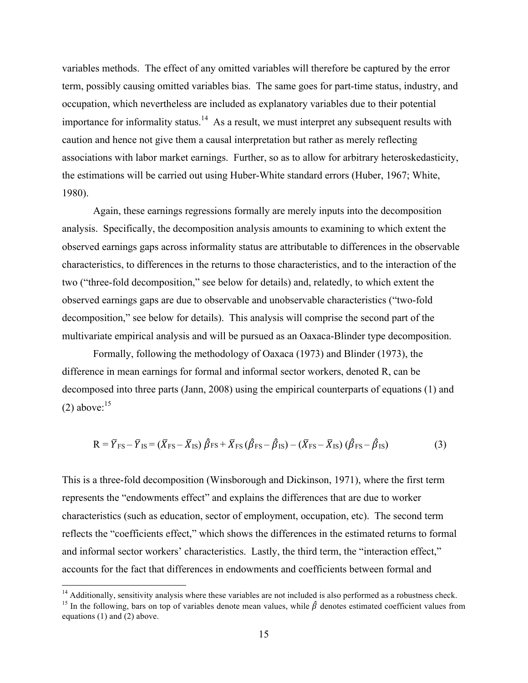variables methods. The effect of any omitted variables will therefore be captured by the error term, possibly causing omitted variables bias. The same goes for part-time status, industry, and occupation, which nevertheless are included as explanatory variables due to their potential importance for informality status.<sup>14</sup> As a result, we must interpret any subsequent results with caution and hence not give them a causal interpretation but rather as merely reflecting associations with labor market earnings. Further, so as to allow for arbitrary heteroskedasticity, the estimations will be carried out using Huber-White standard errors (Huber, 1967; White, 1980).

Again, these earnings regressions formally are merely inputs into the decomposition analysis. Specifically, the decomposition analysis amounts to examining to which extent the observed earnings gaps across informality status are attributable to differences in the observable characteristics, to differences in the returns to those characteristics, and to the interaction of the two ("three-fold decomposition," see below for details) and, relatedly, to which extent the observed earnings gaps are due to observable and unobservable characteristics ("two-fold decomposition," see below for details). This analysis will comprise the second part of the multivariate empirical analysis and will be pursued as an Oaxaca-Blinder type decomposition.

Formally, following the methodology of Oaxaca (1973) and Blinder (1973), the difference in mean earnings for formal and informal sector workers, denoted R, can be decomposed into three parts (Jann, 2008) using the empirical counterparts of equations (1) and  $(2)$  above:<sup>15</sup>

$$
R = \overline{Y}_{FS} - \overline{Y}_{IS} = (\overline{X}_{FS} - \overline{X}_{IS})\hat{\beta}_{FS} + \overline{X}_{FS}(\hat{\beta}_{FS} - \hat{\beta}_{IS}) - (\overline{X}_{FS} - \overline{X}_{IS})(\hat{\beta}_{FS} - \hat{\beta}_{IS})
$$
(3)

This is a three-fold decomposition (Winsborough and Dickinson, 1971), where the first term represents the "endowments effect" and explains the differences that are due to worker characteristics (such as education, sector of employment, occupation, etc). The second term reflects the "coefficients effect," which shows the differences in the estimated returns to formal and informal sector workers' characteristics. Lastly, the third term, the "interaction effect," accounts for the fact that differences in endowments and coefficients between formal and

 $14$  Additionally, sensitivity analysis where these variables are not included is also performed as a robustness check.

<sup>&</sup>lt;sup>15</sup> In the following, bars on top of variables denote mean values, while  $\hat{\beta}$  denotes estimated coefficient values from equations (1) and (2) above.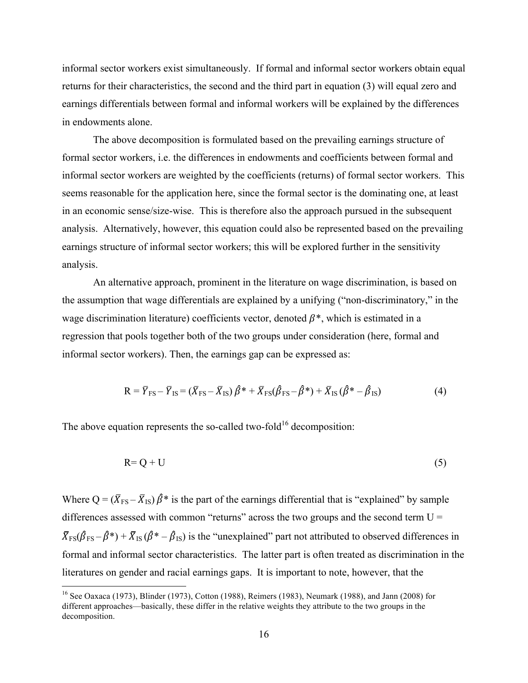informal sector workers exist simultaneously. If formal and informal sector workers obtain equal returns for their characteristics, the second and the third part in equation (3) will equal zero and earnings differentials between formal and informal workers will be explained by the differences in endowments alone.

The above decomposition is formulated based on the prevailing earnings structure of formal sector workers, i.e. the differences in endowments and coefficients between formal and informal sector workers are weighted by the coefficients (returns) of formal sector workers. This seems reasonable for the application here, since the formal sector is the dominating one, at least in an economic sense/size-wise. This is therefore also the approach pursued in the subsequent analysis. Alternatively, however, this equation could also be represented based on the prevailing earnings structure of informal sector workers; this will be explored further in the sensitivity analysis.

An alternative approach, prominent in the literature on wage discrimination, is based on the assumption that wage differentials are explained by a unifying ("non-discriminatory," in the wage discrimination literature) coefficients vector, denoted  $\beta^*$ , which is estimated in a regression that pools together both of the two groups under consideration (here, formal and informal sector workers). Then, the earnings gap can be expressed as:

$$
R = \overline{Y}_{FS} - \overline{Y}_{IS} = (\overline{X}_{FS} - \overline{X}_{IS})\hat{\beta}^* + \overline{X}_{FS}(\hat{\beta}_{FS} - \hat{\beta}^*) + \overline{X}_{IS}(\hat{\beta}^* - \hat{\beta}_{IS})
$$
(4)

The above equation represents the so-called two-fold<sup>16</sup> decomposition:

$$
R = Q + U \tag{5}
$$

Where  $Q = (\bar{X}_{FS} - \bar{X}_{IS}) \hat{\beta}^*$  is the part of the earnings differential that is "explained" by sample differences assessed with common "returns" across the two groups and the second term  $U =$  $\bar{X}_{FS}(\hat{\beta}_{FS} - \hat{\beta}^*) + \bar{X}_{IS}(\hat{\beta}^* - \hat{\beta}_{IS})$  is the "unexplained" part not attributed to observed differences in formal and informal sector characteristics. The latter part is often treated as discrimination in the literatures on gender and racial earnings gaps. It is important to note, however, that the

 <sup>16</sup> See Oaxaca (1973), Blinder (1973), Cotton (1988), Reimers (1983), Neumark (1988), and Jann (2008) for different approaches—basically, these differ in the relative weights they attribute to the two groups in the decomposition.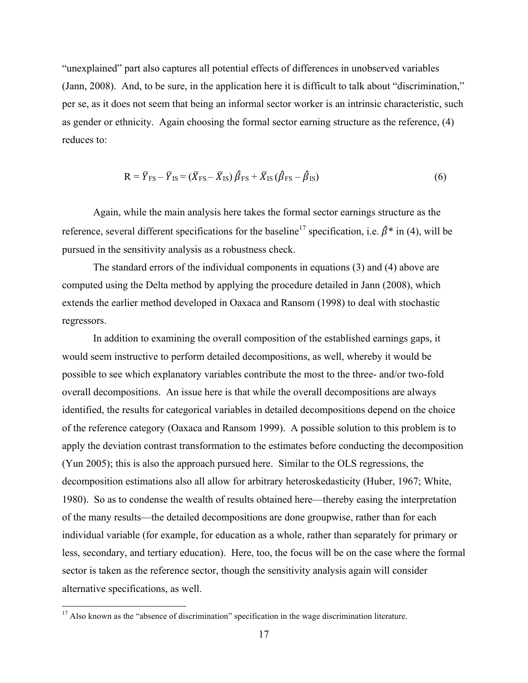"unexplained" part also captures all potential effects of differences in unobserved variables (Jann, 2008). And, to be sure, in the application here it is difficult to talk about "discrimination," per se, as it does not seem that being an informal sector worker is an intrinsic characteristic, such as gender or ethnicity. Again choosing the formal sector earning structure as the reference, (4) reduces to:

$$
R = \overline{Y}_{FS} - \overline{Y}_{IS} = (\overline{X}_{FS} - \overline{X}_{IS})\hat{\beta}_{FS} + \overline{X}_{IS}(\hat{\beta}_{FS} - \hat{\beta}_{IS})
$$
(6)

Again, while the main analysis here takes the formal sector earnings structure as the reference, several different specifications for the baseline<sup>17</sup> specification, i.e.  $\hat{\beta}^*$  in (4), will be pursued in the sensitivity analysis as a robustness check.

The standard errors of the individual components in equations (3) and (4) above are computed using the Delta method by applying the procedure detailed in Jann (2008), which extends the earlier method developed in Oaxaca and Ransom (1998) to deal with stochastic regressors.

In addition to examining the overall composition of the established earnings gaps, it would seem instructive to perform detailed decompositions, as well, whereby it would be possible to see which explanatory variables contribute the most to the three- and/or two-fold overall decompositions. An issue here is that while the overall decompositions are always identified, the results for categorical variables in detailed decompositions depend on the choice of the reference category (Oaxaca and Ransom 1999). A possible solution to this problem is to apply the deviation contrast transformation to the estimates before conducting the decomposition (Yun 2005); this is also the approach pursued here. Similar to the OLS regressions, the decomposition estimations also all allow for arbitrary heteroskedasticity (Huber, 1967; White, 1980). So as to condense the wealth of results obtained here—thereby easing the interpretation of the many results—the detailed decompositions are done groupwise, rather than for each individual variable (for example, for education as a whole, rather than separately for primary or less, secondary, and tertiary education). Here, too, the focus will be on the case where the formal sector is taken as the reference sector, though the sensitivity analysis again will consider alternative specifications, as well.

<sup>&</sup>lt;sup>17</sup> Also known as the "absence of discrimination" specification in the wage discrimination literature.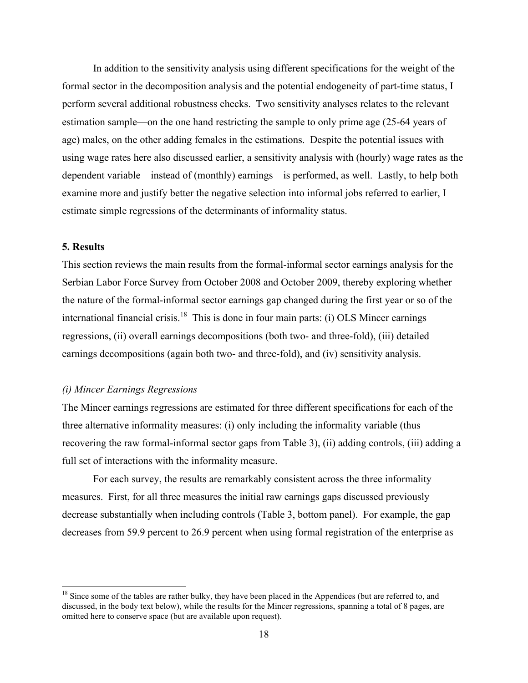In addition to the sensitivity analysis using different specifications for the weight of the formal sector in the decomposition analysis and the potential endogeneity of part-time status, I perform several additional robustness checks. Two sensitivity analyses relates to the relevant estimation sample—on the one hand restricting the sample to only prime age (25-64 years of age) males, on the other adding females in the estimations. Despite the potential issues with using wage rates here also discussed earlier, a sensitivity analysis with (hourly) wage rates as the dependent variable—instead of (monthly) earnings—is performed, as well. Lastly, to help both examine more and justify better the negative selection into informal jobs referred to earlier, I estimate simple regressions of the determinants of informality status.

#### **5. Results**

This section reviews the main results from the formal-informal sector earnings analysis for the Serbian Labor Force Survey from October 2008 and October 2009, thereby exploring whether the nature of the formal-informal sector earnings gap changed during the first year or so of the international financial crisis.<sup>18</sup> This is done in four main parts: (i) OLS Mincer earnings regressions, (ii) overall earnings decompositions (both two- and three-fold), (iii) detailed earnings decompositions (again both two- and three-fold), and (iv) sensitivity analysis.

#### *(i) Mincer Earnings Regressions*

The Mincer earnings regressions are estimated for three different specifications for each of the three alternative informality measures: (i) only including the informality variable (thus recovering the raw formal-informal sector gaps from Table 3), (ii) adding controls, (iii) adding a full set of interactions with the informality measure.

For each survey, the results are remarkably consistent across the three informality measures. First, for all three measures the initial raw earnings gaps discussed previously decrease substantially when including controls (Table 3, bottom panel). For example, the gap decreases from 59.9 percent to 26.9 percent when using formal registration of the enterprise as

<sup>&</sup>lt;sup>18</sup> Since some of the tables are rather bulky, they have been placed in the Appendices (but are referred to, and discussed, in the body text below), while the results for the Mincer regressions, spanning a total of 8 pages, are omitted here to conserve space (but are available upon request).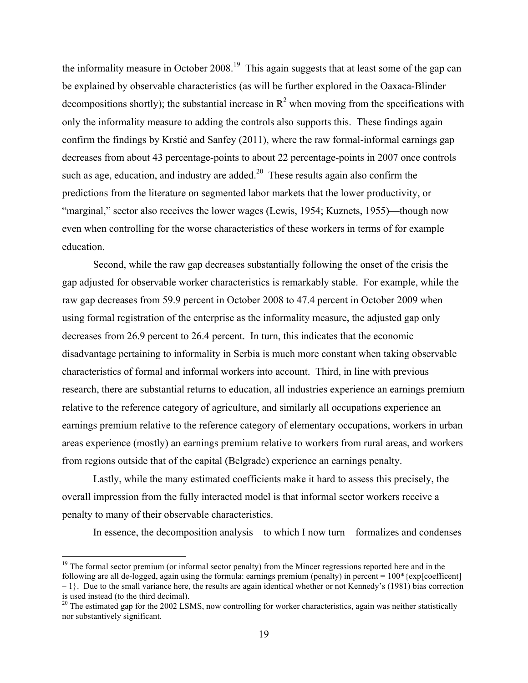the informality measure in October 2008.<sup>19</sup> This again suggests that at least some of the gap can be explained by observable characteristics (as will be further explored in the Oaxaca-Blinder decompositions shortly); the substantial increase in  $R^2$  when moving from the specifications with only the informality measure to adding the controls also supports this. These findings again confirm the findings by Krstić and Sanfey (2011), where the raw formal-informal earnings gap decreases from about 43 percentage-points to about 22 percentage-points in 2007 once controls such as age, education, and industry are added. $20$  These results again also confirm the predictions from the literature on segmented labor markets that the lower productivity, or "marginal," sector also receives the lower wages (Lewis, 1954; Kuznets, 1955)—though now even when controlling for the worse characteristics of these workers in terms of for example education.

Second, while the raw gap decreases substantially following the onset of the crisis the gap adjusted for observable worker characteristics is remarkably stable. For example, while the raw gap decreases from 59.9 percent in October 2008 to 47.4 percent in October 2009 when using formal registration of the enterprise as the informality measure, the adjusted gap only decreases from 26.9 percent to 26.4 percent. In turn, this indicates that the economic disadvantage pertaining to informality in Serbia is much more constant when taking observable characteristics of formal and informal workers into account. Third, in line with previous research, there are substantial returns to education, all industries experience an earnings premium relative to the reference category of agriculture, and similarly all occupations experience an earnings premium relative to the reference category of elementary occupations, workers in urban areas experience (mostly) an earnings premium relative to workers from rural areas, and workers from regions outside that of the capital (Belgrade) experience an earnings penalty.

Lastly, while the many estimated coefficients make it hard to assess this precisely, the overall impression from the fully interacted model is that informal sector workers receive a penalty to many of their observable characteristics.

In essence, the decomposition analysis—to which I now turn—formalizes and condenses

 $19$  The formal sector premium (or informal sector penalty) from the Mincer regressions reported here and in the following are all de-logged, again using the formula: earnings premium (penalty) in percent =  $100*(\text{exp}[\text{coefficient}]$  $-1$ . Due to the small variance here, the results are again identical whether or not Kennedy's (1981) bias correction is used instead (to the third decimal).

<sup>&</sup>lt;sup>20</sup> The estimated gap for the 2002 LSMS, now controlling for worker characteristics, again was neither statistically nor substantively significant.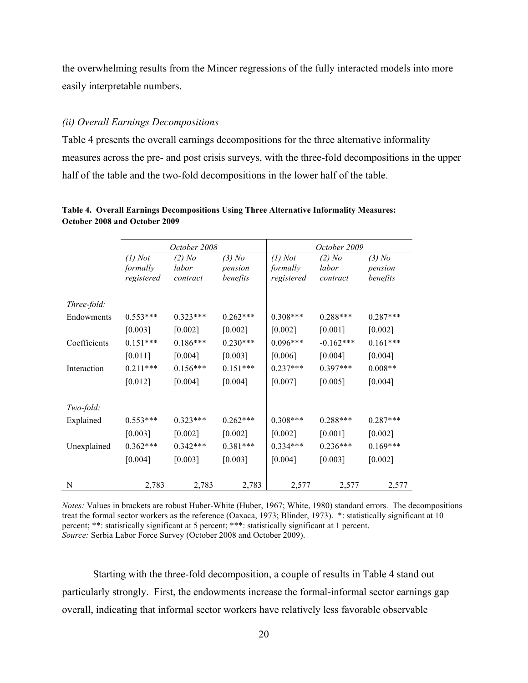the overwhelming results from the Mincer regressions of the fully interacted models into more easily interpretable numbers.

#### *(ii) Overall Earnings Decompositions*

Table 4 presents the overall earnings decompositions for the three alternative informality measures across the pre- and post crisis surveys, with the three-fold decompositions in the upper half of the table and the two-fold decompositions in the lower half of the table.

|              |                       | October 2008      |                     |                       | October 2009      |                     |
|--------------|-----------------------|-------------------|---------------------|-----------------------|-------------------|---------------------|
|              | $(1)$ Not<br>formally | $(2)$ No<br>labor | $(3)$ No<br>pension | $(l)$ Not<br>formally | $(2)$ No<br>labor | $(3)$ No<br>pension |
|              | registered            | contract          | benefits            | registered            | contract          | benefits            |
| Three-fold:  |                       |                   |                     |                       |                   |                     |
| Endowments   | $0.553***$            | $0.323***$        | $0.262***$          | $0.308***$            | $0.288***$        | $0.287***$          |
|              | $[0.003]$             | $[0.002]$         | $[0.002]$           | $[0.002]$             | $[0.001]$         | $[0.002]$           |
| Coefficients | $0.151***$            | $0.186***$        | $0.230***$          | $0.096***$            | $-0.162***$       | $0.161***$          |
|              | [0.011]               | $[0.004]$         | $[0.003]$           | [0.006]               | [0.004]           | [0.004]             |
| Interaction  | $0.211***$            | $0.156***$        | $0.151***$          | $0.237***$            | $0.397***$        | $0.008**$           |
|              | $[0.012]$             | $[0.004]$         | $[0.004]$           | $[0.007]$             | [0.005]           | $[0.004]$           |
| Two-fold:    |                       |                   |                     |                       |                   |                     |
| Explained    | $0.553***$            | $0.323***$        | $0.262***$          | $0.308***$            | $0.288***$        | $0.287***$          |
|              | $[0.003]$             | $[0.002]$         | $[0.002]$           | $[0.002]$             | $[0.001]$         | $[0.002]$           |
| Unexplained  | $0.362***$            | $0.342***$        | $0.381***$          | $0.334***$            | $0.236***$        | $0.169***$          |
|              | $[0.004]$             | $[0.003]$         | $[0.003]$           | $[0.004]$             | [0.003]           | $[0.002]$           |
| N            | 2,783                 | 2,783             | 2,783               | 2,577                 | 2,577             | 2,577               |

**Table 4. Overall Earnings Decompositions Using Three Alternative Informality Measures: October 2008 and October 2009**

*Notes:* Values in brackets are robust Huber-White (Huber, 1967; White, 1980) standard errors. The decompositions treat the formal sector workers as the reference (Oaxaca, 1973; Blinder, 1973). \*: statistically significant at 10 percent; \*\*: statistically significant at 5 percent; \*\*\*: statistically significant at 1 percent. *Source:* Serbia Labor Force Survey (October 2008 and October 2009).

Starting with the three-fold decomposition, a couple of results in Table 4 stand out particularly strongly. First, the endowments increase the formal-informal sector earnings gap overall, indicating that informal sector workers have relatively less favorable observable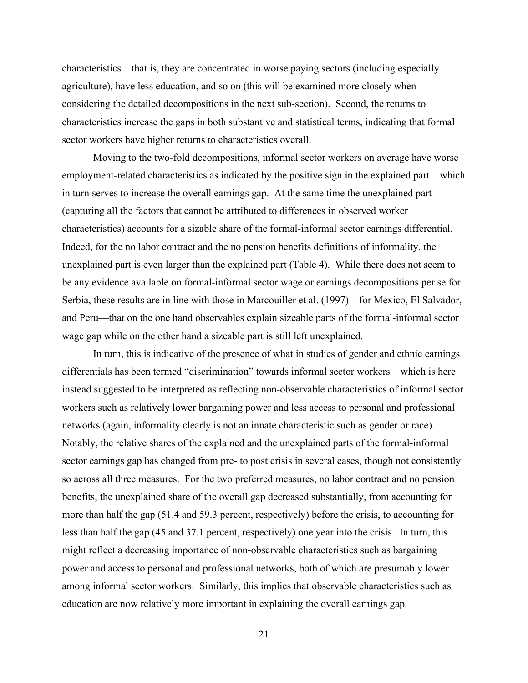characteristics—that is, they are concentrated in worse paying sectors (including especially agriculture), have less education, and so on (this will be examined more closely when considering the detailed decompositions in the next sub-section). Second, the returns to characteristics increase the gaps in both substantive and statistical terms, indicating that formal sector workers have higher returns to characteristics overall.

Moving to the two-fold decompositions, informal sector workers on average have worse employment-related characteristics as indicated by the positive sign in the explained part—which in turn serves to increase the overall earnings gap. At the same time the unexplained part (capturing all the factors that cannot be attributed to differences in observed worker characteristics) accounts for a sizable share of the formal-informal sector earnings differential. Indeed, for the no labor contract and the no pension benefits definitions of informality, the unexplained part is even larger than the explained part (Table 4). While there does not seem to be any evidence available on formal-informal sector wage or earnings decompositions per se for Serbia, these results are in line with those in Marcouiller et al. (1997)—for Mexico, El Salvador, and Peru—that on the one hand observables explain sizeable parts of the formal-informal sector wage gap while on the other hand a sizeable part is still left unexplained.

In turn, this is indicative of the presence of what in studies of gender and ethnic earnings differentials has been termed "discrimination" towards informal sector workers—which is here instead suggested to be interpreted as reflecting non-observable characteristics of informal sector workers such as relatively lower bargaining power and less access to personal and professional networks (again, informality clearly is not an innate characteristic such as gender or race). Notably, the relative shares of the explained and the unexplained parts of the formal-informal sector earnings gap has changed from pre- to post crisis in several cases, though not consistently so across all three measures. For the two preferred measures, no labor contract and no pension benefits, the unexplained share of the overall gap decreased substantially, from accounting for more than half the gap (51.4 and 59.3 percent, respectively) before the crisis, to accounting for less than half the gap (45 and 37.1 percent, respectively) one year into the crisis. In turn, this might reflect a decreasing importance of non-observable characteristics such as bargaining power and access to personal and professional networks, both of which are presumably lower among informal sector workers. Similarly, this implies that observable characteristics such as education are now relatively more important in explaining the overall earnings gap.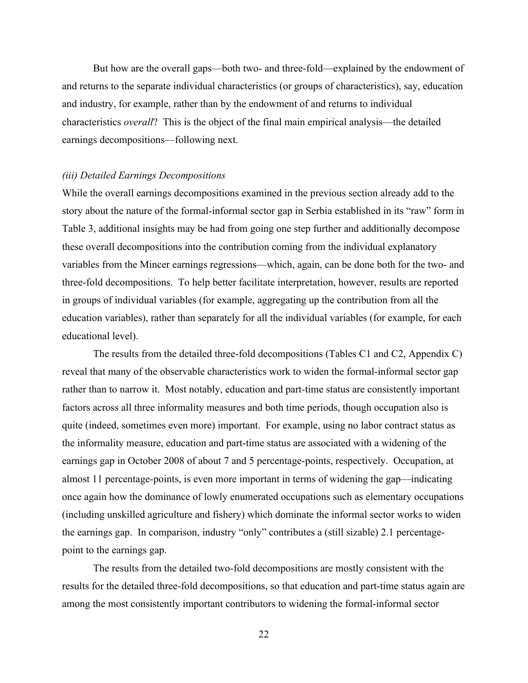But how are the overall gaps—both two- and three-fold—explained by the endowment of and returns to the separate individual characteristics (or groups of characteristics), say, education and industry, for example, rather than by the endowment of and returns to individual characteristics *overall*? This is the object of the final main empirical analysis—the detailed earnings decompositions—following next.

#### *(iii) Detailed Earnings Decompositions*

While the overall earnings decompositions examined in the previous section already add to the story about the nature of the formal-informal sector gap in Serbia established in its "raw" form in Table 3, additional insights may be had from going one step further and additionally decompose these overall decompositions into the contribution coming from the individual explanatory variables from the Mincer earnings regressions—which, again, can be done both for the two- and three-fold decompositions. To help better facilitate interpretation, however, results are reported in groups of individual variables (for example, aggregating up the contribution from all the education variables), rather than separately for all the individual variables (for example, for each educational level).

The results from the detailed three-fold decompositions (Tables C1 and C2, Appendix C) reveal that many of the observable characteristics work to widen the formal-informal sector gap rather than to narrow it. Most notably, education and part-time status are consistently important factors across all three informality measures and both time periods, though occupation also is quite (indeed, sometimes even more) important. For example, using no labor contract status as the informality measure, education and part-time status are associated with a widening of the earnings gap in October 2008 of about 7 and 5 percentage-points, respectively. Occupation, at almost 11 percentage-points, is even more important in terms of widening the gap—indicating once again how the dominance of lowly enumerated occupations such as elementary occupations (including unskilled agriculture and fishery) which dominate the informal sector works to widen the earnings gap. In comparison, industry "only" contributes a (still sizable) 2.1 percentagepoint to the earnings gap.

The results from the detailed two-fold decompositions are mostly consistent with the results for the detailed three-fold decompositions, so that education and part-time status again are among the most consistently important contributors to widening the formal-informal sector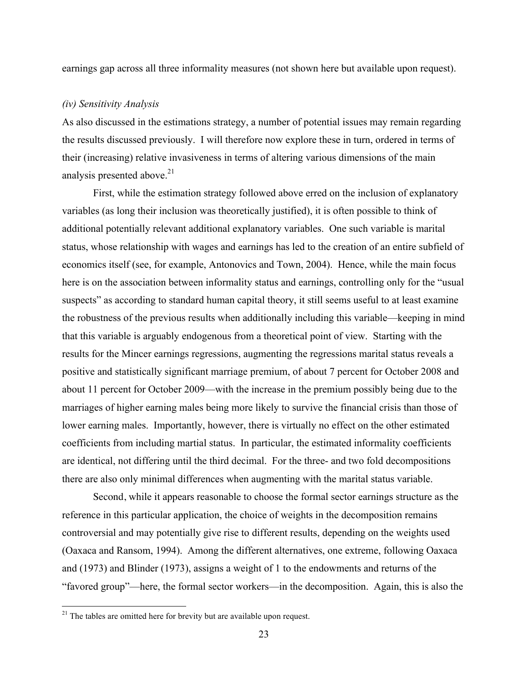earnings gap across all three informality measures (not shown here but available upon request).

#### *(iv) Sensitivity Analysis*

As also discussed in the estimations strategy, a number of potential issues may remain regarding the results discussed previously. I will therefore now explore these in turn, ordered in terms of their (increasing) relative invasiveness in terms of altering various dimensions of the main analysis presented above.<sup>21</sup>

First, while the estimation strategy followed above erred on the inclusion of explanatory variables (as long their inclusion was theoretically justified), it is often possible to think of additional potentially relevant additional explanatory variables. One such variable is marital status, whose relationship with wages and earnings has led to the creation of an entire subfield of economics itself (see, for example, Antonovics and Town, 2004). Hence, while the main focus here is on the association between informality status and earnings, controlling only for the "usual suspects" as according to standard human capital theory, it still seems useful to at least examine the robustness of the previous results when additionally including this variable—keeping in mind that this variable is arguably endogenous from a theoretical point of view. Starting with the results for the Mincer earnings regressions, augmenting the regressions marital status reveals a positive and statistically significant marriage premium, of about 7 percent for October 2008 and about 11 percent for October 2009—with the increase in the premium possibly being due to the marriages of higher earning males being more likely to survive the financial crisis than those of lower earning males. Importantly, however, there is virtually no effect on the other estimated coefficients from including martial status. In particular, the estimated informality coefficients are identical, not differing until the third decimal. For the three- and two fold decompositions there are also only minimal differences when augmenting with the marital status variable.

Second, while it appears reasonable to choose the formal sector earnings structure as the reference in this particular application, the choice of weights in the decomposition remains controversial and may potentially give rise to different results, depending on the weights used (Oaxaca and Ransom, 1994). Among the different alternatives, one extreme, following Oaxaca and (1973) and Blinder (1973), assigns a weight of 1 to the endowments and returns of the "favored group"—here, the formal sector workers—in the decomposition. Again, this is also the

 $21$ <sup>21</sup> The tables are omitted here for brevity but are available upon request.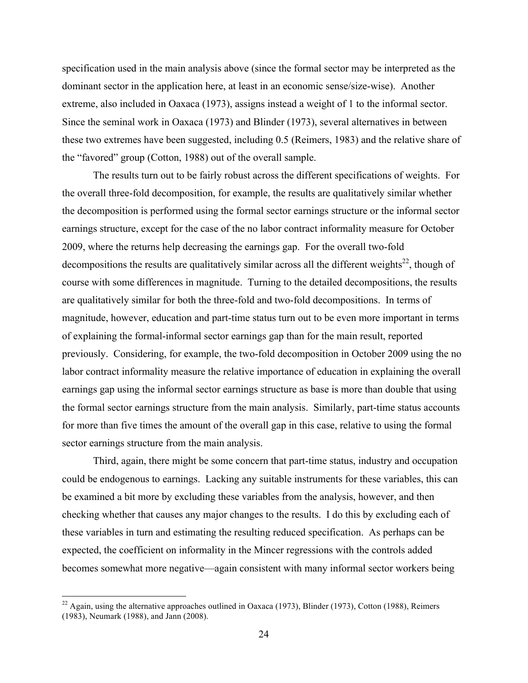specification used in the main analysis above (since the formal sector may be interpreted as the dominant sector in the application here, at least in an economic sense/size-wise). Another extreme, also included in Oaxaca (1973), assigns instead a weight of 1 to the informal sector. Since the seminal work in Oaxaca (1973) and Blinder (1973), several alternatives in between these two extremes have been suggested, including 0.5 (Reimers, 1983) and the relative share of the "favored" group (Cotton, 1988) out of the overall sample.

The results turn out to be fairly robust across the different specifications of weights. For the overall three-fold decomposition, for example, the results are qualitatively similar whether the decomposition is performed using the formal sector earnings structure or the informal sector earnings structure, except for the case of the no labor contract informality measure for October 2009, where the returns help decreasing the earnings gap. For the overall two-fold decompositions the results are qualitatively similar across all the different weights<sup>22</sup>, though of course with some differences in magnitude. Turning to the detailed decompositions, the results are qualitatively similar for both the three-fold and two-fold decompositions. In terms of magnitude, however, education and part-time status turn out to be even more important in terms of explaining the formal-informal sector earnings gap than for the main result, reported previously. Considering, for example, the two-fold decomposition in October 2009 using the no labor contract informality measure the relative importance of education in explaining the overall earnings gap using the informal sector earnings structure as base is more than double that using the formal sector earnings structure from the main analysis. Similarly, part-time status accounts for more than five times the amount of the overall gap in this case, relative to using the formal sector earnings structure from the main analysis.

Third, again, there might be some concern that part-time status, industry and occupation could be endogenous to earnings. Lacking any suitable instruments for these variables, this can be examined a bit more by excluding these variables from the analysis, however, and then checking whether that causes any major changes to the results. I do this by excluding each of these variables in turn and estimating the resulting reduced specification. As perhaps can be expected, the coefficient on informality in the Mincer regressions with the controls added becomes somewhat more negative—again consistent with many informal sector workers being

 $22$  Again, using the alternative approaches outlined in Oaxaca (1973), Blinder (1973), Cotton (1988), Reimers (1983), Neumark (1988), and Jann (2008).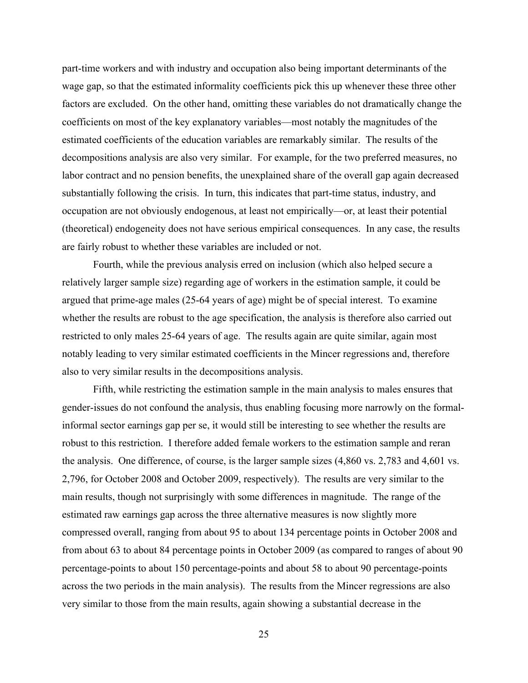part-time workers and with industry and occupation also being important determinants of the wage gap, so that the estimated informality coefficients pick this up whenever these three other factors are excluded. On the other hand, omitting these variables do not dramatically change the coefficients on most of the key explanatory variables—most notably the magnitudes of the estimated coefficients of the education variables are remarkably similar. The results of the decompositions analysis are also very similar. For example, for the two preferred measures, no labor contract and no pension benefits, the unexplained share of the overall gap again decreased substantially following the crisis. In turn, this indicates that part-time status, industry, and occupation are not obviously endogenous, at least not empirically—or, at least their potential (theoretical) endogeneity does not have serious empirical consequences. In any case, the results are fairly robust to whether these variables are included or not.

Fourth, while the previous analysis erred on inclusion (which also helped secure a relatively larger sample size) regarding age of workers in the estimation sample, it could be argued that prime-age males (25-64 years of age) might be of special interest. To examine whether the results are robust to the age specification, the analysis is therefore also carried out restricted to only males 25-64 years of age. The results again are quite similar, again most notably leading to very similar estimated coefficients in the Mincer regressions and, therefore also to very similar results in the decompositions analysis.

Fifth, while restricting the estimation sample in the main analysis to males ensures that gender-issues do not confound the analysis, thus enabling focusing more narrowly on the formalinformal sector earnings gap per se, it would still be interesting to see whether the results are robust to this restriction. I therefore added female workers to the estimation sample and reran the analysis. One difference, of course, is the larger sample sizes (4,860 vs. 2,783 and 4,601 vs. 2,796, for October 2008 and October 2009, respectively). The results are very similar to the main results, though not surprisingly with some differences in magnitude. The range of the estimated raw earnings gap across the three alternative measures is now slightly more compressed overall, ranging from about 95 to about 134 percentage points in October 2008 and from about 63 to about 84 percentage points in October 2009 (as compared to ranges of about 90 percentage-points to about 150 percentage-points and about 58 to about 90 percentage-points across the two periods in the main analysis). The results from the Mincer regressions are also very similar to those from the main results, again showing a substantial decrease in the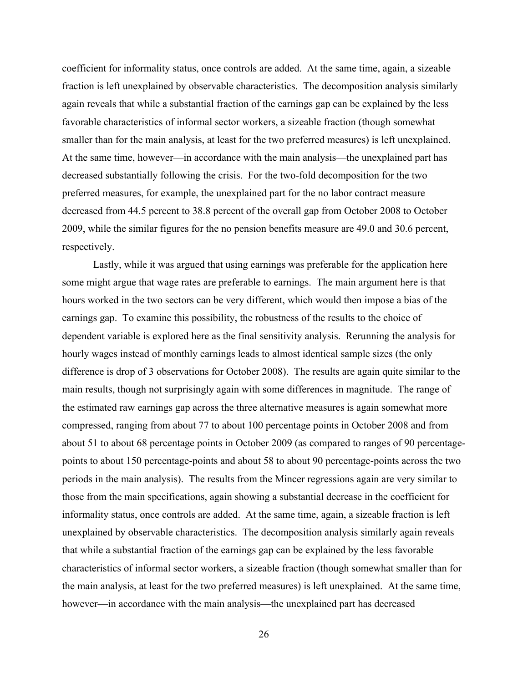coefficient for informality status, once controls are added. At the same time, again, a sizeable fraction is left unexplained by observable characteristics. The decomposition analysis similarly again reveals that while a substantial fraction of the earnings gap can be explained by the less favorable characteristics of informal sector workers, a sizeable fraction (though somewhat smaller than for the main analysis, at least for the two preferred measures) is left unexplained. At the same time, however—in accordance with the main analysis—the unexplained part has decreased substantially following the crisis. For the two-fold decomposition for the two preferred measures, for example, the unexplained part for the no labor contract measure decreased from 44.5 percent to 38.8 percent of the overall gap from October 2008 to October 2009, while the similar figures for the no pension benefits measure are 49.0 and 30.6 percent, respectively.

Lastly, while it was argued that using earnings was preferable for the application here some might argue that wage rates are preferable to earnings. The main argument here is that hours worked in the two sectors can be very different, which would then impose a bias of the earnings gap. To examine this possibility, the robustness of the results to the choice of dependent variable is explored here as the final sensitivity analysis. Rerunning the analysis for hourly wages instead of monthly earnings leads to almost identical sample sizes (the only difference is drop of 3 observations for October 2008). The results are again quite similar to the main results, though not surprisingly again with some differences in magnitude. The range of the estimated raw earnings gap across the three alternative measures is again somewhat more compressed, ranging from about 77 to about 100 percentage points in October 2008 and from about 51 to about 68 percentage points in October 2009 (as compared to ranges of 90 percentagepoints to about 150 percentage-points and about 58 to about 90 percentage-points across the two periods in the main analysis). The results from the Mincer regressions again are very similar to those from the main specifications, again showing a substantial decrease in the coefficient for informality status, once controls are added. At the same time, again, a sizeable fraction is left unexplained by observable characteristics. The decomposition analysis similarly again reveals that while a substantial fraction of the earnings gap can be explained by the less favorable characteristics of informal sector workers, a sizeable fraction (though somewhat smaller than for the main analysis, at least for the two preferred measures) is left unexplained. At the same time, however—in accordance with the main analysis—the unexplained part has decreased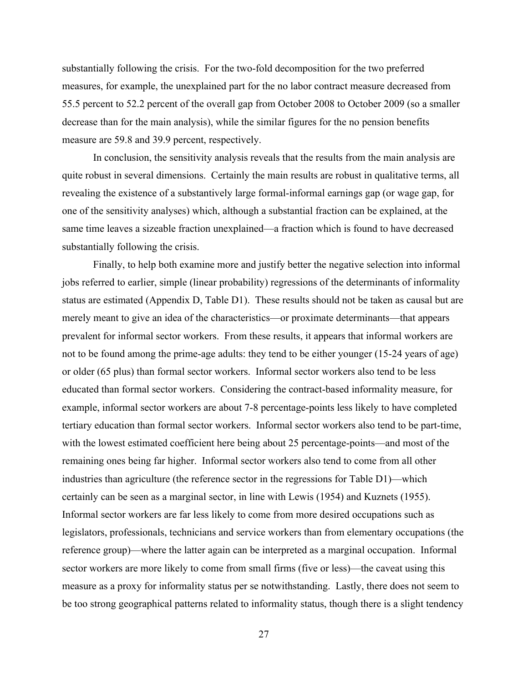substantially following the crisis. For the two-fold decomposition for the two preferred measures, for example, the unexplained part for the no labor contract measure decreased from 55.5 percent to 52.2 percent of the overall gap from October 2008 to October 2009 (so a smaller decrease than for the main analysis), while the similar figures for the no pension benefits measure are 59.8 and 39.9 percent, respectively.

In conclusion, the sensitivity analysis reveals that the results from the main analysis are quite robust in several dimensions. Certainly the main results are robust in qualitative terms, all revealing the existence of a substantively large formal-informal earnings gap (or wage gap, for one of the sensitivity analyses) which, although a substantial fraction can be explained, at the same time leaves a sizeable fraction unexplained—a fraction which is found to have decreased substantially following the crisis.

Finally, to help both examine more and justify better the negative selection into informal jobs referred to earlier, simple (linear probability) regressions of the determinants of informality status are estimated (Appendix D, Table D1). These results should not be taken as causal but are merely meant to give an idea of the characteristics—or proximate determinants—that appears prevalent for informal sector workers. From these results, it appears that informal workers are not to be found among the prime-age adults: they tend to be either younger (15-24 years of age) or older (65 plus) than formal sector workers. Informal sector workers also tend to be less educated than formal sector workers. Considering the contract-based informality measure, for example, informal sector workers are about 7-8 percentage-points less likely to have completed tertiary education than formal sector workers. Informal sector workers also tend to be part-time, with the lowest estimated coefficient here being about 25 percentage-points—and most of the remaining ones being far higher. Informal sector workers also tend to come from all other industries than agriculture (the reference sector in the regressions for Table D1)—which certainly can be seen as a marginal sector, in line with Lewis (1954) and Kuznets (1955). Informal sector workers are far less likely to come from more desired occupations such as legislators, professionals, technicians and service workers than from elementary occupations (the reference group)—where the latter again can be interpreted as a marginal occupation. Informal sector workers are more likely to come from small firms (five or less)—the caveat using this measure as a proxy for informality status per se notwithstanding. Lastly, there does not seem to be too strong geographical patterns related to informality status, though there is a slight tendency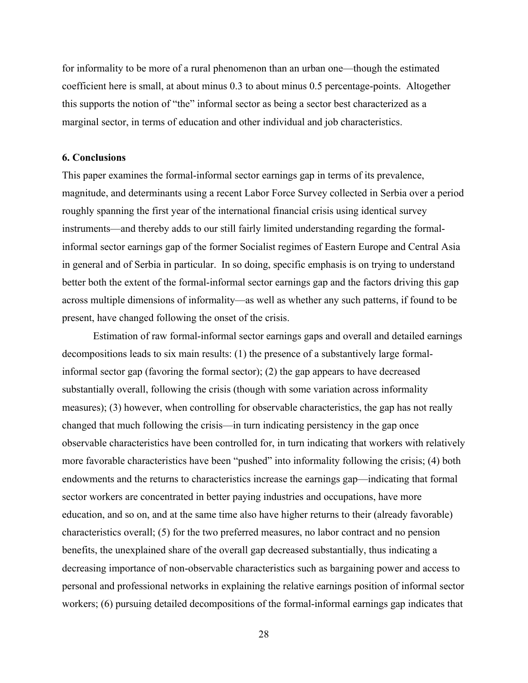for informality to be more of a rural phenomenon than an urban one—though the estimated coefficient here is small, at about minus 0.3 to about minus 0.5 percentage-points. Altogether this supports the notion of "the" informal sector as being a sector best characterized as a marginal sector, in terms of education and other individual and job characteristics.

#### **6. Conclusions**

This paper examines the formal-informal sector earnings gap in terms of its prevalence, magnitude, and determinants using a recent Labor Force Survey collected in Serbia over a period roughly spanning the first year of the international financial crisis using identical survey instruments—and thereby adds to our still fairly limited understanding regarding the formalinformal sector earnings gap of the former Socialist regimes of Eastern Europe and Central Asia in general and of Serbia in particular. In so doing, specific emphasis is on trying to understand better both the extent of the formal-informal sector earnings gap and the factors driving this gap across multiple dimensions of informality—as well as whether any such patterns, if found to be present, have changed following the onset of the crisis.

Estimation of raw formal-informal sector earnings gaps and overall and detailed earnings decompositions leads to six main results: (1) the presence of a substantively large formalinformal sector gap (favoring the formal sector); (2) the gap appears to have decreased substantially overall, following the crisis (though with some variation across informality measures); (3) however, when controlling for observable characteristics, the gap has not really changed that much following the crisis—in turn indicating persistency in the gap once observable characteristics have been controlled for, in turn indicating that workers with relatively more favorable characteristics have been "pushed" into informality following the crisis; (4) both endowments and the returns to characteristics increase the earnings gap—indicating that formal sector workers are concentrated in better paying industries and occupations, have more education, and so on, and at the same time also have higher returns to their (already favorable) characteristics overall; (5) for the two preferred measures, no labor contract and no pension benefits, the unexplained share of the overall gap decreased substantially, thus indicating a decreasing importance of non-observable characteristics such as bargaining power and access to personal and professional networks in explaining the relative earnings position of informal sector workers; (6) pursuing detailed decompositions of the formal-informal earnings gap indicates that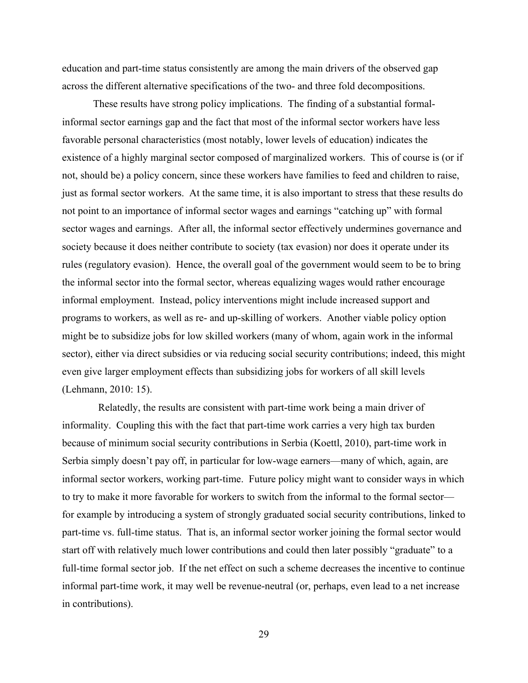education and part-time status consistently are among the main drivers of the observed gap across the different alternative specifications of the two- and three fold decompositions.

These results have strong policy implications. The finding of a substantial formalinformal sector earnings gap and the fact that most of the informal sector workers have less favorable personal characteristics (most notably, lower levels of education) indicates the existence of a highly marginal sector composed of marginalized workers. This of course is (or if not, should be) a policy concern, since these workers have families to feed and children to raise, just as formal sector workers. At the same time, it is also important to stress that these results do not point to an importance of informal sector wages and earnings "catching up" with formal sector wages and earnings. After all, the informal sector effectively undermines governance and society because it does neither contribute to society (tax evasion) nor does it operate under its rules (regulatory evasion). Hence, the overall goal of the government would seem to be to bring the informal sector into the formal sector, whereas equalizing wages would rather encourage informal employment. Instead, policy interventions might include increased support and programs to workers, as well as re- and up-skilling of workers. Another viable policy option might be to subsidize jobs for low skilled workers (many of whom, again work in the informal sector), either via direct subsidies or via reducing social security contributions; indeed, this might even give larger employment effects than subsidizing jobs for workers of all skill levels (Lehmann, 2010: 15).

 Relatedly, the results are consistent with part-time work being a main driver of informality. Coupling this with the fact that part-time work carries a very high tax burden because of minimum social security contributions in Serbia (Koettl, 2010), part-time work in Serbia simply doesn't pay off, in particular for low-wage earners—many of which, again, are informal sector workers, working part-time. Future policy might want to consider ways in which to try to make it more favorable for workers to switch from the informal to the formal sector for example by introducing a system of strongly graduated social security contributions, linked to part-time vs. full-time status. That is, an informal sector worker joining the formal sector would start off with relatively much lower contributions and could then later possibly "graduate" to a full-time formal sector job. If the net effect on such a scheme decreases the incentive to continue informal part-time work, it may well be revenue-neutral (or, perhaps, even lead to a net increase in contributions).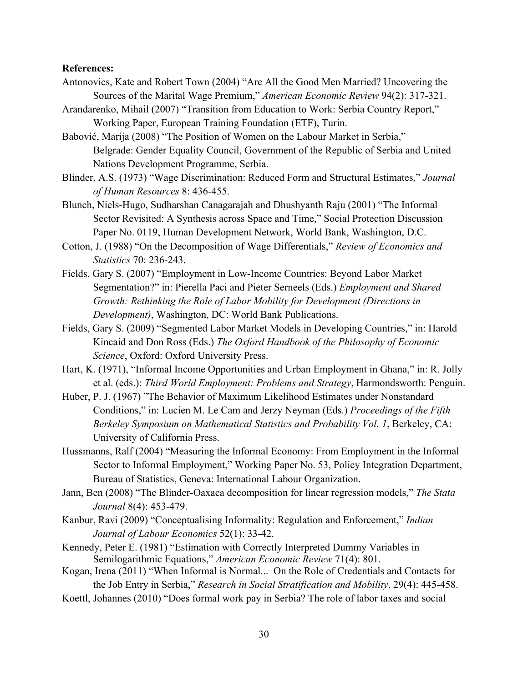#### **References:**

- Antonovics, Kate and Robert Town (2004) "Are All the Good Men Married? Uncovering the Sources of the Marital Wage Premium," *American Economic Review* 94(2): 317-321.
- Arandarenko, Mihail (2007) "Transition from Education to Work: Serbia Country Report," Working Paper, European Training Foundation (ETF), Turin.
- Babović, Marija (2008) "The Position of Women on the Labour Market in Serbia," Belgrade: Gender Equality Council, Government of the Republic of Serbia and United Nations Development Programme, Serbia.
- Blinder, A.S. (1973) "Wage Discrimination: Reduced Form and Structural Estimates," *Journal of Human Resources* 8: 436-455.
- Blunch, Niels-Hugo, Sudharshan Canagarajah and Dhushyanth Raju (2001) "The Informal Sector Revisited: A Synthesis across Space and Time," Social Protection Discussion Paper No. 0119, Human Development Network, World Bank, Washington, D.C.
- Cotton, J. (1988) "On the Decomposition of Wage Differentials," *Review of Economics and Statistics* 70: 236-243.
- Fields, Gary S. (2007) "Employment in Low-Income Countries: Beyond Labor Market Segmentation?" in: Pierella Paci and Pieter Serneels (Eds.) *Employment and Shared Growth: Rethinking the Role of Labor Mobility for Development (Directions in Development)*, Washington, DC: World Bank Publications.
- Fields, Gary S. (2009) "Segmented Labor Market Models in Developing Countries," in: Harold Kincaid and Don Ross (Eds.) *The Oxford Handbook of the Philosophy of Economic Science*, Oxford: Oxford University Press.
- Hart, K. (1971), "Informal Income Opportunities and Urban Employment in Ghana," in: R. Jolly et al. (eds.): *Third World Employment: Problems and Strategy*, Harmondsworth: Penguin.
- Huber, P. J. (1967) "The Behavior of Maximum Likelihood Estimates under Nonstandard Conditions," in: Lucien M. Le Cam and Jerzy Neyman (Eds.) *Proceedings of the Fifth Berkeley Symposium on Mathematical Statistics and Probability Vol. 1*, Berkeley, CA: University of California Press.
- Hussmanns, Ralf (2004) "Measuring the Informal Economy: From Employment in the Informal Sector to Informal Employment," Working Paper No. 53, Policy Integration Department, Bureau of Statistics, Geneva: International Labour Organization.
- Jann, Ben (2008) "The Blinder-Oaxaca decomposition for linear regression models," *The Stata Journal* 8(4): 453-479.
- Kanbur, Ravi (2009) "Conceptualising Informality: Regulation and Enforcement," *Indian Journal of Labour Economics* 52(1): 33-42.
- Kennedy, Peter E. (1981) "Estimation with Correctly Interpreted Dummy Variables in Semilogarithmic Equations," *American Economic Review* 71(4): 801.
- Kogan, Irena (2011) "When Informal is Normal... On the Role of Credentials and Contacts for the Job Entry in Serbia," *Research in Social Stratification and Mobility*, 29(4): 445-458.
- Koettl, Johannes (2010) "Does formal work pay in Serbia? The role of labor taxes and social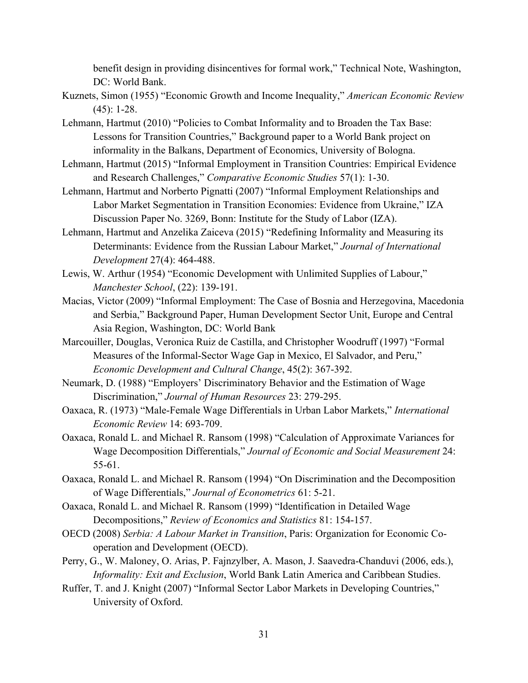benefit design in providing disincentives for formal work," Technical Note, Washington, DC: World Bank.

- Kuznets, Simon (1955) "Economic Growth and Income Inequality," *American Economic Review* (45): 1-28.
- Lehmann, Hartmut (2010) "Policies to Combat Informality and to Broaden the Tax Base: Lessons for Transition Countries," Background paper to a World Bank project on informality in the Balkans, Department of Economics, University of Bologna.
- Lehmann, Hartmut (2015) "Informal Employment in Transition Countries: Empirical Evidence and Research Challenges," *Comparative Economic Studies* 57(1): 1-30.
- Lehmann, Hartmut and Norberto Pignatti (2007) "Informal Employment Relationships and Labor Market Segmentation in Transition Economies: Evidence from Ukraine," IZA Discussion Paper No. 3269, Bonn: Institute for the Study of Labor (IZA).
- Lehmann, Hartmut and Anzelika Zaiceva (2015) "Redefining Informality and Measuring its Determinants: Evidence from the Russian Labour Market," *Journal of International Development* 27(4): 464-488.
- Lewis, W. Arthur (1954) "Economic Development with Unlimited Supplies of Labour," *Manchester School*, (22): 139-191.
- Macias, Victor (2009) "Informal Employment: The Case of Bosnia and Herzegovina, Macedonia and Serbia," Background Paper, Human Development Sector Unit, Europe and Central Asia Region, Washington, DC: World Bank
- Marcouiller, Douglas, Veronica Ruiz de Castilla, and Christopher Woodruff (1997) "Formal Measures of the Informal-Sector Wage Gap in Mexico, El Salvador, and Peru," *Economic Development and Cultural Change*, 45(2): 367-392.
- Neumark, D. (1988) "Employers' Discriminatory Behavior and the Estimation of Wage Discrimination," *Journal of Human Resources* 23: 279-295.
- Oaxaca, R. (1973) "Male-Female Wage Differentials in Urban Labor Markets," *International Economic Review* 14: 693-709.
- Oaxaca, Ronald L. and Michael R. Ransom (1998) "Calculation of Approximate Variances for Wage Decomposition Differentials," *Journal of Economic and Social Measurement* 24: 55-61.
- Oaxaca, Ronald L. and Michael R. Ransom (1994) "On Discrimination and the Decomposition of Wage Differentials," *Journal of Econometrics* 61: 5-21.
- Oaxaca, Ronald L. and Michael R. Ransom (1999) "Identification in Detailed Wage Decompositions," *Review of Economics and Statistics* 81: 154-157.
- OECD (2008) *Serbia: A Labour Market in Transition*, Paris: Organization for Economic Cooperation and Development (OECD).
- Perry, G., W. Maloney, O. Arias, P. Fajnzylber, A. Mason, J. Saavedra-Chanduvi (2006, eds.), *Informality: Exit and Exclusion*, World Bank Latin America and Caribbean Studies.
- Ruffer, T. and J. Knight (2007) "Informal Sector Labor Markets in Developing Countries," University of Oxford.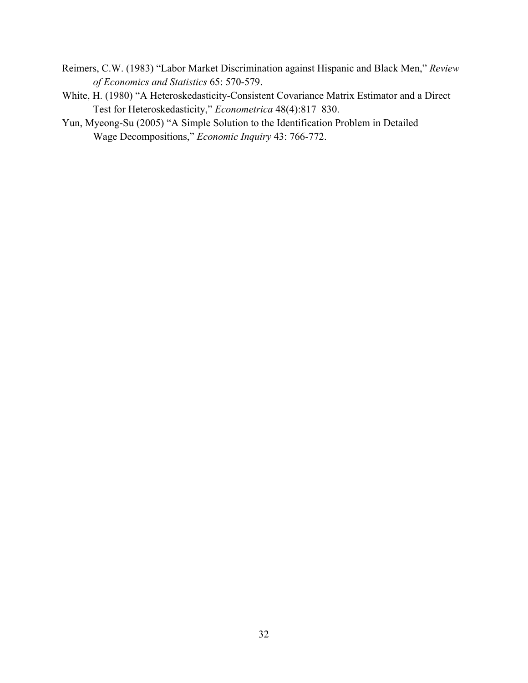- Reimers, C.W. (1983) "Labor Market Discrimination against Hispanic and Black Men," *Review of Economics and Statistics* 65: 570-579.
- White, H. (1980) "A Heteroskedasticity-Consistent Covariance Matrix Estimator and a Direct Test for Heteroskedasticity," *Econometrica* 48(4):817–830.
- Yun, Myeong-Su (2005) "A Simple Solution to the Identification Problem in Detailed Wage Decompositions," *Economic Inquiry* 43: 766-772.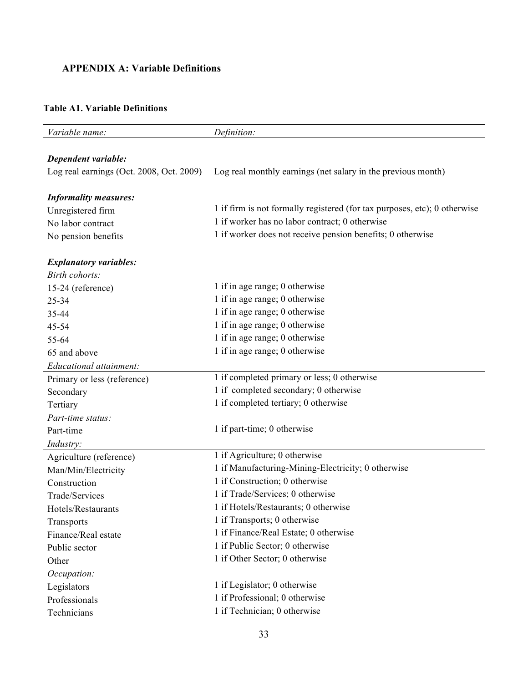### **APPENDIX A: Variable Definitions**

#### **Table A1. Variable Definitions**

| Variable name:                           | Definition:                                                               |
|------------------------------------------|---------------------------------------------------------------------------|
|                                          |                                                                           |
| Dependent variable:                      |                                                                           |
| Log real earnings (Oct. 2008, Oct. 2009) | Log real monthly earnings (net salary in the previous month)              |
|                                          |                                                                           |
| <b>Informality measures:</b>             |                                                                           |
| Unregistered firm                        | 1 if firm is not formally registered (for tax purposes, etc); 0 otherwise |
| No labor contract                        | 1 if worker has no labor contract; 0 otherwise                            |
| No pension benefits                      | 1 if worker does not receive pension benefits; 0 otherwise                |
| <b>Explanatory variables:</b>            |                                                                           |
| Birth cohorts:                           |                                                                           |
| 15-24 (reference)                        | 1 if in age range; 0 otherwise                                            |
| 25-34                                    | 1 if in age range; 0 otherwise                                            |
| 35-44                                    | 1 if in age range; 0 otherwise                                            |
| 45-54                                    | 1 if in age range; 0 otherwise                                            |
| 55-64                                    | 1 if in age range; 0 otherwise                                            |
| 65 and above                             | 1 if in age range; 0 otherwise                                            |
| Educational attainment:                  |                                                                           |
| Primary or less (reference)              | 1 if completed primary or less; 0 otherwise                               |
| Secondary                                | 1 if completed secondary; 0 otherwise                                     |
| Tertiary                                 | 1 if completed tertiary; 0 otherwise                                      |
| Part-time status:                        |                                                                           |
| Part-time                                | 1 if part-time; 0 otherwise                                               |
| Industry:                                |                                                                           |
| Agriculture (reference)                  | 1 if Agriculture; 0 otherwise                                             |
| Man/Min/Electricity                      | 1 if Manufacturing-Mining-Electricity; 0 otherwise                        |
| Construction                             | 1 if Construction; 0 otherwise                                            |
| Trade/Services                           | 1 if Trade/Services; 0 otherwise                                          |
| Hotels/Restaurants                       | 1 if Hotels/Restaurants; 0 otherwise                                      |
| Transports                               | 1 if Transports; 0 otherwise                                              |
| Finance/Real estate                      | 1 if Finance/Real Estate; 0 otherwise                                     |
| Public sector                            | 1 if Public Sector; 0 otherwise                                           |
| Other                                    | 1 if Other Sector; 0 otherwise                                            |
| Occupation:                              |                                                                           |
| Legislators                              | 1 if Legislator; 0 otherwise                                              |
| Professionals                            | 1 if Professional; 0 otherwise                                            |
| Technicians                              | 1 if Technician; 0 otherwise                                              |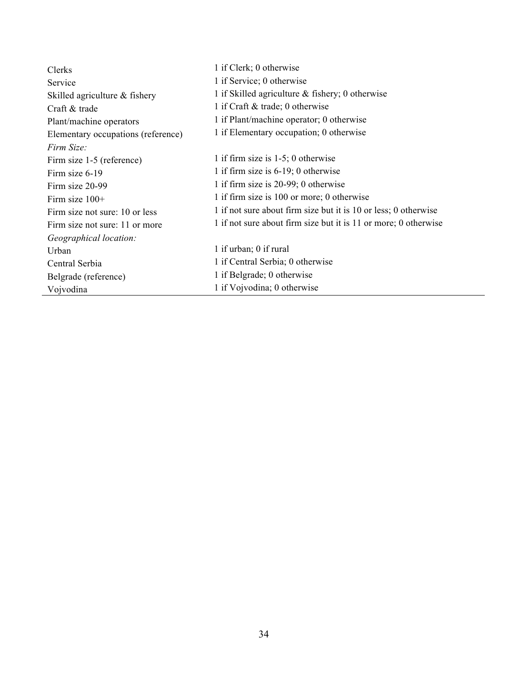| Clerks                             | 1 if Clerk; 0 otherwise                                         |
|------------------------------------|-----------------------------------------------------------------|
| Service                            | 1 if Service; 0 otherwise                                       |
| Skilled agriculture & fishery      | 1 if Skilled agriculture $\&$ fishery; 0 otherwise              |
| Craft & trade                      | 1 if Craft & trade; 0 otherwise                                 |
| Plant/machine operators            | 1 if Plant/machine operator; 0 otherwise                        |
| Elementary occupations (reference) | 1 if Elementary occupation; 0 otherwise                         |
| <i>Firm Size:</i>                  |                                                                 |
| Firm size 1-5 (reference)          | 1 if firm size is $1-5$ ; 0 otherwise                           |
| Firm size 6-19                     | 1 if firm size is $6-19$ ; 0 otherwise                          |
| Firm size 20-99                    | 1 if firm size is 20-99; 0 otherwise                            |
| Firm size $100+$                   | 1 if firm size is 100 or more; 0 otherwise                      |
| Firm size not sure: 10 or less     | 1 if not sure about firm size but it is 10 or less; 0 otherwise |
| Firm size not sure: 11 or more     | 1 if not sure about firm size but it is 11 or more; 0 otherwise |
| Geographical location:             |                                                                 |
| Urban                              | 1 if urban; 0 if rural                                          |
| Central Serbia                     | 1 if Central Serbia; 0 otherwise                                |
| Belgrade (reference)               | 1 if Belgrade; 0 otherwise                                      |
| Vojvodina                          | 1 if Vojvodina; 0 otherwise                                     |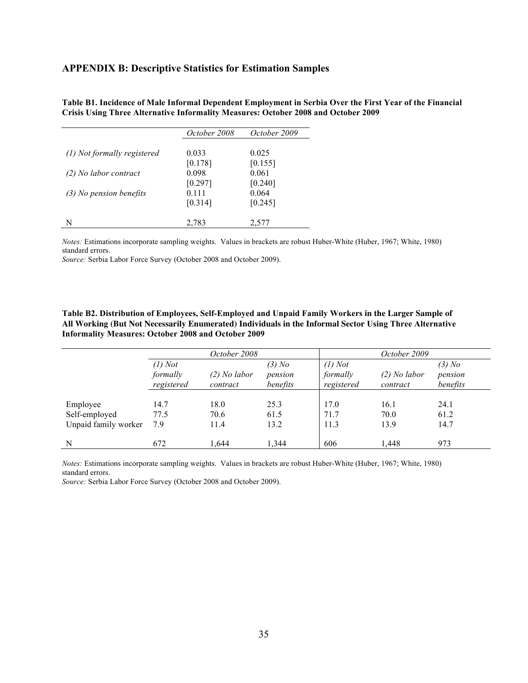#### **APPENDIX B: Descriptive Statistics for Estimation Samples**

|                             | October 2008 | October 2009 |
|-----------------------------|--------------|--------------|
|                             |              |              |
| (1) Not formally registered | 0.033        | 0.025        |
|                             | [0.178]      | [0.155]      |
| (2) No labor contract       | 0.098        | 0.061        |
|                             | [0.297]      | [0.240]      |
| $(3)$ No pension benefits   | 0.111        | 0.064        |
|                             | [0.314]      | [0.245]      |
| N                           | 2,783        | 2,577        |

**Table B1. Incidence of Male Informal Dependent Employment in Serbia Over the First Year of the Financial Crisis Using Three Alternative Informality Measures: October 2008 and October 2009**

*Notes:* Estimations incorporate sampling weights. Values in brackets are robust Huber-White (Huber, 1967; White, 1980) standard errors.

*Source:* Serbia Labor Force Survey (October 2008 and October 2009).

**Table B2. Distribution of Employees, Self-Employed and Unpaid Family Workers in the Larger Sample of All Working (But Not Necessarily Enumerated) Individuals in the Informal Sector Using Three Alternative Informality Measures: October 2008 and October 2009**

|                                                   |                                     | October 2008               |                                 | October 2009                        |                            |                                 |  |
|---------------------------------------------------|-------------------------------------|----------------------------|---------------------------------|-------------------------------------|----------------------------|---------------------------------|--|
|                                                   | $(1)$ Not<br>formally<br>registered | $(2)$ No labor<br>contract | $(3)$ No<br>pension<br>benefits | $(1)$ Not<br>formally<br>registered | $(2)$ No labor<br>contract | $(3)$ No<br>pension<br>benefits |  |
| Employee<br>Self-employed<br>Unpaid family worker | 14.7<br>77.5<br>7.9                 | 18.0<br>70.6<br>11.4       | 25.3<br>61.5<br>13.2            | 17.0<br>71.7<br>11.3                | 16.1<br>70.0<br>13.9       | 24.1<br>61.2<br>14.7            |  |
| N                                                 | 672                                 | 1.644                      | 1.344                           | 606                                 | 1,448                      | 973                             |  |

*Notes:* Estimations incorporate sampling weights. Values in brackets are robust Huber-White (Huber, 1967; White, 1980) standard errors.

*Source:* Serbia Labor Force Survey (October 2008 and October 2009).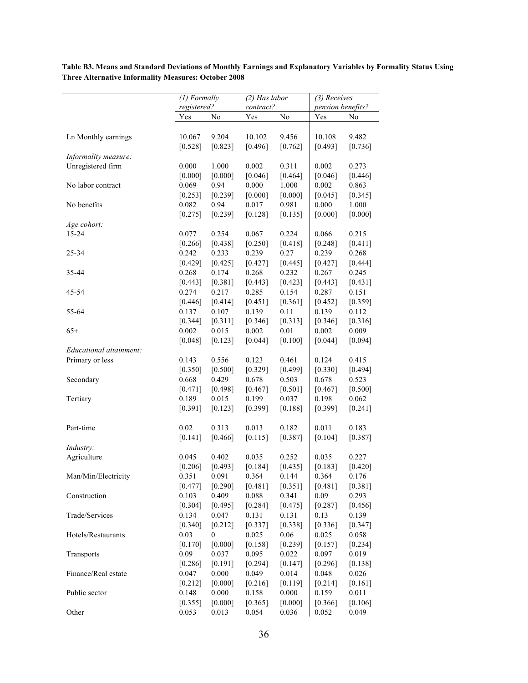*(1) Formally registered? (2) Has labor contract? (3) Receives pension benefits?* Yes No Yes No Yes No Ln Monthly earnings 10.067 9.204 10.102 9.456 10.108 9.482  $[0.528]$   $[0.823]$   $[0.496]$   $[0.762]$   $[0.493]$   $[0.736]$ *Informality measure:* Unregistered firm 0.000 1.000 0.002 0.311 0.002 0.273  $[0.000]$   $[0.000]$   $[0.046]$   $[0.464]$   $[0.046]$   $[0.446]$ No labor contract 0.069 0.94 0.000 1.000 0.002 0.863  $[0.253]$   $[0.239]$   $[0.000]$   $[0.000]$   $[0.045]$   $[0.345]$ No benefits 0.082 0.94 0.017 0.981 0.000 1.000  $[0.275]$   $[0.239]$   $[0.128]$   $[0.135]$   $[0.000]$   $[0.000]$ *Age cohort:* 15-24 0.077 0.254 0.067 0.224 0.066 0.215  $[0.266]$   $[0.438]$   $[0.250]$   $[0.418]$   $[0.248]$   $[0.411]$ 25-34 0.242 0.233 0.239 0.27 0.239 0.268  $[0.429]$   $[0.425]$   $[0.427]$   $[0.445]$   $[0.427]$   $[0.444]$ 35-44 0.268 0.174 0.268 0.232 0.267 0.245  $[0.443]$   $[0.381]$   $[0.443]$   $[0.423]$   $[0.443]$   $[0.431]$ 45-54 0.274 0.217 0.285 0.154 0.287 0.151  $[0.446]$   $[0.414]$   $[0.451]$   $[0.361]$   $[0.452]$   $[0.359]$ 55-64 0.137 0.107 0.139 0.11 0.139 0.112  $\begin{bmatrix} 0.344 \end{bmatrix}$   $\begin{bmatrix} 0.311 \end{bmatrix}$   $\begin{bmatrix} 0.346 \end{bmatrix}$   $\begin{bmatrix} 0.313 \end{bmatrix}$   $\begin{bmatrix} 0.346 \end{bmatrix}$   $\begin{bmatrix} 0.316 \end{bmatrix}$ 65+ 0.002 0.015 0.002 0.01 0.002 0.009  $[0.048]$   $[0.123]$   $[0.044]$   $[0.100]$   $[0.044]$   $[0.094]$ *Educational attainment:* Primary or less 0.143 0.556 0.123 0.461 0.124 0.415  $[0.350]$   $[0.500]$   $[0.329]$   $[0.499]$   $[0.330]$   $[0.494]$ Secondary 0.668 0.429 0.678 0.503 0.678 0.523  $\begin{bmatrix} 0.471 \end{bmatrix}$   $\begin{bmatrix} 0.498 \end{bmatrix}$   $\begin{bmatrix} 0.467 \end{bmatrix}$   $\begin{bmatrix} 0.501 \end{bmatrix}$   $\begin{bmatrix} 0.467 \end{bmatrix}$   $\begin{bmatrix} 0.500 \end{bmatrix}$ Tertiary 0.189 0.015 0.199 0.037 0.198 0.062  $[0.391]$   $[0.123]$   $[0.399]$   $[0.188]$   $[0.399]$   $[0.241]$ Part-time 0.02 0.313 0.013 0.182 0.011 0.183  $[0.141]$   $[0.466]$   $[0.115]$   $[0.387]$   $[0.104]$   $[0.387]$ *Industry:* Agriculture 0.045 0.402 0.035 0.252 0.035 0.227  $[0.206]$   $[0.493]$   $[0.184]$   $[0.435]$   $[0.183]$   $[0.420]$ Man/Min/Electricity 0.351 0.091 0.364 0.144 0.364 0.176  $[0.477]$   $[0.290]$   $[0.481]$   $[0.351]$   $[0.481]$   $[0.381]$ Construction 0.103 0.409 0.088 0.341 0.09 0.293  $[0.304]$   $[0.495]$   $[0.284]$   $[0.475]$   $[0.287]$   $[0.456]$ Trade/Services 0.134 0.047 0.131 0.131 0.13 0.139  $[0.340]$   $[0.212]$   $[0.337]$   $[0.338]$   $[0.336]$   $[0.347]$ Hotels/Restaurants 0.03 0 0.025 0.06 0.025 0.058  $[0.170]$   $[0.000]$   $[0.158]$   $[0.239]$   $[0.157]$   $[0.234]$ Transports 0.09 0.037 0.095 0.022 0.097 0.019  $[0.286]$   $[0.191]$   $[0.294]$   $[0.147]$   $[0.296]$   $[0.138]$ Finance/Real estate  $0.047$   $0.000$   $0.049$   $0.014$   $0.048$   $0.026$  $[0.212]$   $[0.000]$   $[0.216]$   $[0.119]$   $[0.214]$   $[0.161]$ Public sector 0.148 0.000 0.158 0.000 0.159 0.011  $[0.355]$   $[0.000]$   $[0.365]$   $[0.000]$   $[0.366]$   $[0.106]$ 

**Table B3. Means and Standard Deviations of Monthly Earnings and Explanatory Variables by Formality Status Using Three Alternative Informality Measures: October 2008**

Other 0.053 0.013 0.054 0.036 0.052 0.049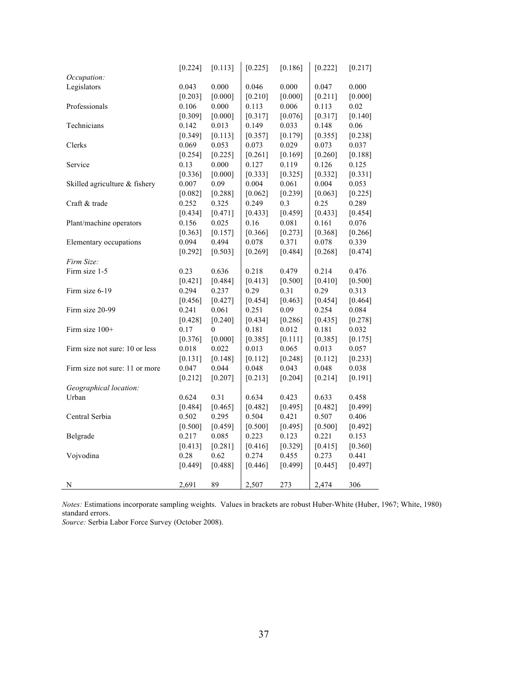|                                | [0.224]   | [0.113]          | [0.225] | [0.186]   | [0.222]   | [0.217]   |
|--------------------------------|-----------|------------------|---------|-----------|-----------|-----------|
| Occupation:                    |           |                  |         |           |           |           |
| Legislators                    | 0.043     | 0.000            | 0.046   | 0.000     | 0.047     | 0.000     |
|                                | [0.203]   | [0.000]          | [0.210] | [0.000]   | [0.211]   | [0.000]   |
| Professionals                  | 0.106     | 0.000            | 0.113   | 0.006     | 0.113     | 0.02      |
|                                | [0.309]   | [0.000]          | [0.317] | [0.076]   | [0.317]   | [0.140]   |
| Technicians                    | 0.142     | 0.013            | 0.149   | 0.033     | 0.148     | 0.06      |
|                                | [0.349]   | [0.113]          | [0.357] | [0.179]   | [0.355]   | [0.238]   |
| Clerks                         | 0.069     | 0.053            | 0.073   | 0.029     | 0.073     | 0.037     |
|                                | [0.254]   | [0.225]          | [0.261] | [0.169]   | [0.260]   | [0.188]   |
| Service                        | 0.13      | 0.000            | 0.127   | 0.119     | 0.126     | 0.125     |
|                                | [0.336]   | [0.000]          | [0.333] | [0.325]   | [0.332]   | [0.331]   |
| Skilled agriculture & fishery  | 0.007     | 0.09             | 0.004   | 0.061     | 0.004     | 0.053     |
|                                | [0.082]   | [0.288]          | [0.062] | [0.239]   | [0.063]   | $[0.225]$ |
| Craft & trade                  | 0.252     | 0.325            | 0.249   | 0.3       | 0.25      | 0.289     |
|                                | $[0.434]$ | [0.471]          | [0.433] | [0.459]   | [0.433]   | [0.454]   |
| Plant/machine operators        | 0.156     | 0.025            | 0.16    | 0.081     | 0.161     | 0.076     |
|                                | [0.363]   | [0.157]          | [0.366] | [0.273]   | [0.368]   | [0.266]   |
| Elementary occupations         | 0.094     | 0.494            | 0.078   | 0.371     | 0.078     | 0.339     |
|                                | [0.292]   | [0.503]          | [0.269] | [0.484]   | [0.268]   | [0.474]   |
| Firm Size:                     |           |                  |         |           |           |           |
| Firm size 1-5                  | 0.23      | 0.636            | 0.218   | 0.479     | 0.214     | 0.476     |
|                                | [0.421]   | [0.484]          | [0.413] | [0.500]   | [0.410]   | [0.500]   |
| Firm size 6-19                 | 0.294     | 0.237            | 0.29    | 0.31      | 0.29      | 0.313     |
|                                | [0.456]   | [0.427]          | [0.454] | [0.463]   | [0.454]   | [0.464]   |
| Firm size 20-99                | 0.241     | 0.061            | 0.251   | 0.09      | 0.254     | 0.084     |
|                                | [0.428]   | [0.240]          | [0.434] | [0.286]   | [0.435]   | [0.278]   |
| Firm size 100+                 | 0.17      | $\boldsymbol{0}$ | 0.181   | 0.012     | 0.181     | 0.032     |
|                                | [0.376]   | [0.000]          | [0.385] | [0.111]   | [0.385]   | [0.175]   |
| Firm size not sure: 10 or less | 0.018     | 0.022            | 0.013   | 0.065     | 0.013     | 0.057     |
|                                | $[0.131]$ | [0.148]          | [0.112] | [0.248]   | [0.112]   | [0.233]   |
| Firm size not sure: 11 or more | 0.047     | 0.044            | 0.048   | 0.043     | 0.048     | 0.038     |
|                                | [0.212]   | [0.207]          | [0.213] | $[0.204]$ | [0.214]   | [0.191]   |
| Geographical location:         |           |                  |         |           |           |           |
| Urban                          | 0.624     | 0.31             | 0.634   | 0.423     | 0.633     | 0.458     |
|                                | [0.484]   | [0.465]          | [0.482] | [0.495]   | [0.482]   | [0.499]   |
| Central Serbia                 | 0.502     | 0.295            | 0.504   | 0.421     | 0.507     | 0.406     |
|                                | $[0.500]$ | [0.459]          | [0.500] | [0.495]   | $[0.500]$ | $[0.492]$ |
| Belgrade                       | 0.217     | 0.085            | 0.223   | 0.123     | 0.221     | 0.153     |
|                                | [0.413]   | [0.281]          | [0.416] | [0.329]   | [0.415]   | [0.360]   |
| Vojvodina                      | 0.28      | 0.62             | 0.274   | 0.455     | 0.273     | 0.441     |
|                                | [0.449]   | [0.488]          | [0.446] | [0.499]   | [0.445]   | [0.497]   |
|                                |           |                  |         |           |           |           |
| Ν                              | 2,691     | 89               | 2,507   | 273       | 2,474     | 306       |

*Notes:* Estimations incorporate sampling weights. Values in brackets are robust Huber-White (Huber, 1967; White, 1980) standard errors.

*Source:* Serbia Labor Force Survey (October 2008).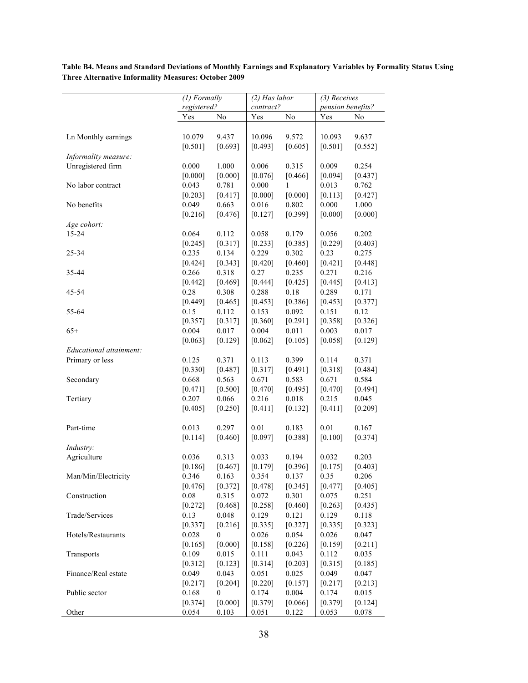*(1) Formally registered? (2) Has labor contract? (3) Receives pension benefits?* Yes No Yes No Yes No Ln Monthly earnings 10.079 9.437 10.096 9.572 10.093 9.637  $[0.501]$   $[0.693]$   $[0.493]$   $[0.605]$   $[0.501]$   $[0.552]$ *Informality measure:* Unregistered firm 0.000 1.000 0.006 0.315 0.009 0.254  $[0.000]$   $[0.000]$   $[0.076]$   $[0.466]$   $[0.094]$   $[0.437]$ No labor contract 0.043 0.781 0.000 1 0.013 0.762  $[0.203]$   $[0.417]$   $[0.000]$   $[0.000]$   $[0.113]$   $[0.427]$ No benefits 0.049 0.663 0.016 0.802 0.000 1.000  $[0.216]$   $[0.476]$   $[0.127]$   $[0.399]$   $[0.000]$   $[0.000]$ *Age cohort:* 15-24 0.064 0.112 0.058 0.179 0.056 0.202  $[0.245]$   $[0.317]$   $[0.233]$   $[0.385]$   $[0.229]$   $[0.403]$ 25-34 0.235 0.134 0.229 0.302 0.23 0.275  $[0.424]$   $[0.343]$   $[0.420]$   $[0.460]$   $[0.421]$   $[0.448]$ 35-44 0.266 0.318 0.27 0.235 0.271 0.216  $[0.442]$   $[0.469]$   $[0.444]$   $[0.425]$   $[0.445]$   $[0.413]$ 45-54 0.28 0.308 0.288 0.18 0.289 0.171  $[0.449]$   $[0.465]$   $[0.453]$   $[0.386]$   $[0.453]$   $[0.377]$ 55-64 0.15 0.112 0.153 0.092 0.151 0.12  $[0.357]$   $[0.317]$   $[0.360]$   $[0.291]$   $[0.358]$   $[0.326]$ 65+ 0.004 0.017 0.004 0.011 0.003 0.017  $[0.063]$   $[0.129]$   $[0.062]$   $[0.105]$   $[0.058]$   $[0.129]$ *Educational attainment:* Primary or less 0.125 0.371 0.113 0.399 0.114 0.371  $[0.330]$   $[0.487]$   $[0.317]$   $[0.491]$   $[0.318]$   $[0.484]$ Secondary 0.668 0.563 0.671 0.583 0.671 0.584  $[0.471]$   $[0.500]$   $[0.470]$   $[0.495]$   $[0.470]$   $[0.494]$ Tertiary 0.207 0.066 0.216 0.018 0.215 0.045  $[0.405]$   $[0.250]$   $[0.411]$   $[0.132]$   $[0.411]$   $[0.209]$ Part-time 0.013 0.297 0.01 0.183 0.01 0.167  $[0.114]$   $[0.460]$   $[0.097]$   $[0.388]$   $[0.100]$   $[0.374]$ *Industry:* Agriculture 0.036 0.313 0.033 0.194 0.032 0.203  $[0.186]$   $[0.467]$   $[0.179]$   $[0.396]$   $[0.175]$   $[0.403]$ Man/Min/Electricity 0.346 0.163 0.354 0.137 0.35 0.206  $[0.476]$   $[0.372]$   $[0.478]$   $[0.345]$   $[0.477]$   $[0.405]$ Construction 0.08 0.315 0.072 0.301 0.075 0.251  $[0.272]$   $[0.468]$   $[0.258]$   $[0.460]$   $[0.263]$   $[0.435]$ Trade/Services 0.13 0.048 0.129 0.121 0.129 0.118  $[0.337]$   $[0.216]$   $[0.335]$   $[0.327]$   $[0.335]$   $[0.323]$ Hotels/Restaurants 0.028 0 0.026 0.054 0.026 0.047  $[0.165]$   $[0.000]$   $[0.158]$   $[0.226]$   $[0.159]$   $[0.211]$ Transports 0.109 0.015 0.111 0.043 0.112 0.035  $[0.312]$   $[0.123]$   $[0.314]$   $[0.203]$   $[0.315]$   $[0.185]$ Finance/Real estate 0.049 0.043 0.051 0.025 0.049 0.047  $[0.217]$   $[0.204]$   $[0.220]$   $[0.157]$   $[0.217]$   $[0.213]$ Public sector 0.168 0 0.174 0.004 0.174 0.015  $[0.374]$   $[0.000]$   $[0.379]$   $[0.066]$   $[0.379]$   $[0.124]$ 

**Table B4. Means and Standard Deviations of Monthly Earnings and Explanatory Variables by Formality Status Using Three Alternative Informality Measures: October 2009**

Other 0.054 0.103 0.051 0.122 0.053 0.078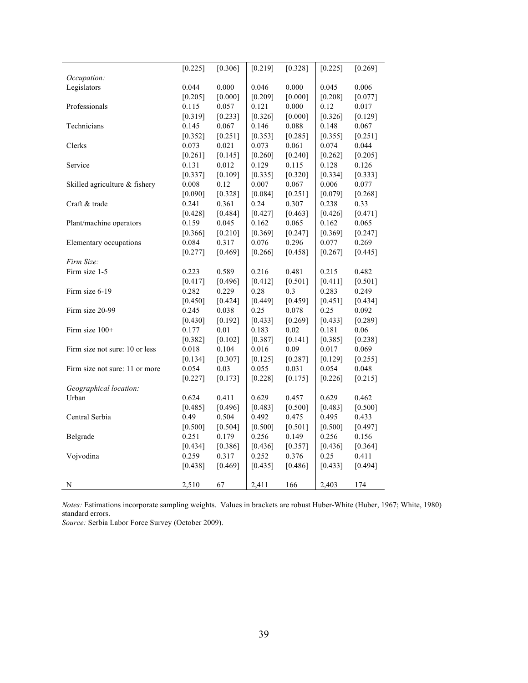|                                | [0.225] | [0.306] | [0.219] | [0.328]   | [0.225] | [0.269]   |
|--------------------------------|---------|---------|---------|-----------|---------|-----------|
| Occupation:                    |         |         |         |           |         |           |
| Legislators                    | 0.044   | 0.000   | 0.046   | 0.000     | 0.045   | 0.006     |
|                                | [0.205] | [0.000] | [0.209] | [0.000]   | [0.208] | [0.077]   |
| Professionals                  | 0.115   | 0.057   | 0.121   | 0.000     | 0.12    | 0.017     |
|                                | [0.319] | [0.233] | [0.326] | [0.000]   | [0.326] | [0.129]   |
| Technicians                    | 0.145   | 0.067   | 0.146   | 0.088     | 0.148   | 0.067     |
|                                | [0.352] | [0.251] | [0.353] | [0.285]   | [0.355] | $[0.251]$ |
| Clerks                         | 0.073   | 0.021   | 0.073   | 0.061     | 0.074   | 0.044     |
|                                | [0.261] | [0.145] | [0.260] | [0.240]   | [0.262] | [0.205]   |
| Service                        | 0.131   | 0.012   | 0.129   | 0.115     | 0.128   | 0.126     |
|                                | [0.337] | [0.109] | [0.335] | [0.320]   | [0.334] | [0.333]   |
| Skilled agriculture & fishery  | 0.008   | 0.12    | 0.007   | 0.067     | 0.006   | 0.077     |
|                                | [0.090] | [0.328] | [0.084] | [0.251]   | [0.079] | [0.268]   |
| Craft & trade                  | 0.241   | 0.361   | 0.24    | 0.307     | 0.238   | 0.33      |
|                                | [0.428] | [0.484] | [0.427] | [0.463]   | [0.426] | [0.471]   |
| Plant/machine operators        | 0.159   | 0.045   | 0.162   | 0.065     | 0.162   | 0.065     |
|                                | [0.366] | [0.210] | [0.369] | [0.247]   | [0.369] | [0.247]   |
| Elementary occupations         | 0.084   | 0.317   | 0.076   | 0.296     | 0.077   | 0.269     |
|                                | [0.277] | [0.469] | [0.266] | [0.458]   | [0.267] | [0.445]   |
| Firm Size:                     |         |         |         |           |         |           |
| Firm size 1-5                  | 0.223   | 0.589   | 0.216   | 0.481     | 0.215   | 0.482     |
|                                | [0.417] | [0.496] | [0.412] | [0.501]   | [0.411] | [0.501]   |
| Firm size 6-19                 | 0.282   | 0.229   | 0.28    | 0.3       | 0.283   | 0.249     |
|                                | [0.450] | [0.424] | [0.449] | [0.459]   | [0.451] | [0.434]   |
| Firm size 20-99                | 0.245   | 0.038   | 0.25    | 0.078     | 0.25    | 0.092     |
|                                | [0.430] | [0.192] | [0.433] | $[0.269]$ | [0.433] | $[0.289]$ |
| Firm size $100+$               | 0.177   | 0.01    | 0.183   | 0.02      | 0.181   | 0.06      |
|                                | [0.382] | [0.102] | [0.387] | [0.141]   | [0.385] | [0.238]   |
| Firm size not sure: 10 or less | 0.018   | 0.104   | 0.016   | 0.09      | 0.017   | 0.069     |
|                                | [0.134] | [0.307] | [0.125] | [0.287]   | [0.129] | [0.255]   |
| Firm size not sure: 11 or more | 0.054   | 0.03    | 0.055   | 0.031     | 0.054   | 0.048     |
|                                | [0.227] | [0.173] | [0.228] | [0.175]   | [0.226] | $[0.215]$ |
| Geographical location:         |         |         |         |           |         |           |
| Urban                          | 0.624   | 0.411   | 0.629   | 0.457     | 0.629   | 0.462     |
|                                | [0.485] | [0.496] | [0.483] | [0.500]   | [0.483] | [0.500]   |
| Central Serbia                 | 0.49    | 0.504   | 0.492   | 0.475     | 0.495   | 0.433     |
|                                | [0.500] | [0.504] | [0.500] | [0.501]   | [0.500] | [0.497]   |
| Belgrade                       | 0.251   | 0.179   | 0.256   | 0.149     | 0.256   | 0.156     |
|                                | [0.434] | [0.386] | [0.436] | [0.357]   | [0.436] | [0.364]   |
| Vojvodina                      | 0.259   | 0.317   | 0.252   | 0.376     | 0.25    | 0.411     |
|                                | [0.438] | [0.469] | [0.435] | [0.486]   | [0.433] | [0.494]   |
| N                              | 2,510   | 67      | 2,411   | 166       | 2,403   | 174       |
|                                |         |         |         |           |         |           |

*Notes:* Estimations incorporate sampling weights. Values in brackets are robust Huber-White (Huber, 1967; White, 1980) standard errors.

*Source:* Serbia Labor Force Survey (October 2009).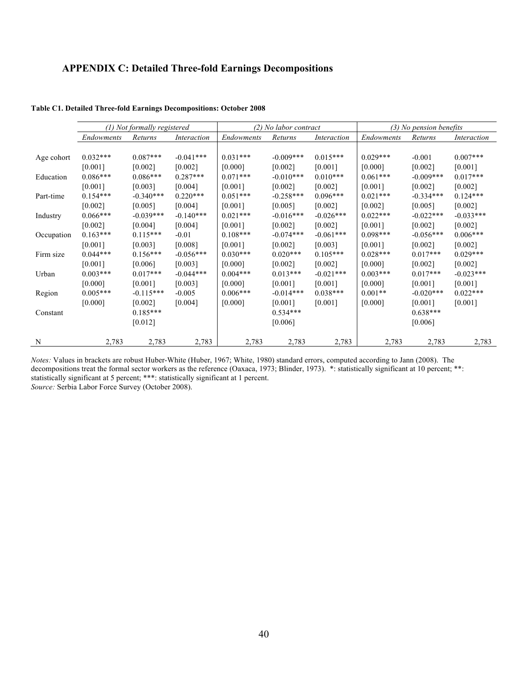### **APPENDIX C: Detailed Three-fold Earnings Decompositions**

|            |            | (1) Not formally registered |             | (2) No labor contract |             |             | $(3)$ No pension benefits |              |             |
|------------|------------|-----------------------------|-------------|-----------------------|-------------|-------------|---------------------------|--------------|-------------|
|            | Endowments | Returns                     | Interaction | Endowments            | Returns     | Interaction | <i>Endowments</i>         | Returns      | Interaction |
|            |            |                             |             |                       |             |             |                           |              |             |
| Age cohort | $0.032***$ | $0.087***$                  | $-0.041***$ | $0.031***$            | $-0.009***$ | $0.015***$  | $0.029***$                | $-0.001$     | $0.007***$  |
|            | [0.001]    | [0.002]                     | [0.002]     | [0.000]               | [0.002]     | [0.001]     | [0.000]                   | [0.002]      | [0.001]     |
| Education  | $0.086***$ | $0.086***$                  | $0.287***$  | $0.071***$            | $-0.010***$ | $0.010***$  | $0.061***$                | $-0.009***$  | $0.017***$  |
|            | [0.001]    | [0.003]                     | [0.004]     | [0.001]               | [0.002]     | [0.002]     | [0.001]                   | [0.002]      | [0.002]     |
| Part-time  | $0.154***$ | $-0.340***$                 | $0.220***$  | $0.051***$            | $-0.258***$ | $0.096***$  | $0.021***$                | $-0.334***$  | $0.124***$  |
|            | [0.002]    | [0.005]                     | [0.004]     | [0.001]               | [0.005]     | [0.002]     | [0.002]                   | [0.005]      | [0.002]     |
| Industry   | $0.066***$ | $-0.039***$                 | $-0.140***$ | $0.021***$            | $-0.016***$ | $-0.026***$ | $0.022***$                | $-0.022$ *** | $-0.033***$ |
|            | [0.002]    | [0.004]                     | [0.004]     | [0.001]               | [0.002]     | [0.002]     | [0.001]                   | [0.002]      | [0.002]     |
| Occupation | $0.163***$ | $0.115***$                  | $-0.01$     | $0.108***$            | $-0.074***$ | $-0.061***$ | $0.098***$                | $-0.056***$  | $0.006***$  |
|            | [0.001]    | [0.003]                     | [0.008]     | [0.001]               | [0.002]     | [0.003]     | [0.001]                   | [0.002]      | [0.002]     |
| Firm size  | $0.044***$ | $0.156***$                  | $-0.056***$ | $0.030***$            | $0.020***$  | $0.105***$  | $0.028***$                | $0.017***$   | $0.029***$  |
|            | [0.001]    | [0.006]                     | [0.003]     | [0.000]               | [0.002]     | [0.002]     | [0.000]                   | [0.002]      | [0.002]     |
| Urban      | $0.003***$ | $0.017***$                  | $-0.044***$ | $0.004***$            | $0.013***$  | $-0.021***$ | $0.003***$                | $0.017***$   | $-0.023***$ |
|            | [0.000]    | [0.001]                     | [0.003]     | [0.000]               | [0.001]     | [0.001]     | [0.000]                   | [0.001]      | [0.001]     |
| Region     | $0.005***$ | $-0.115***$                 | $-0.005$    | $0.006***$            | $-0.014***$ | $0.038***$  | $0.001**$                 | $-0.020***$  | $0.022***$  |
|            | [0.000]    | [0.002]                     | [0.004]     | [0.000]               | [0.001]     | [0.001]     | [0.000]                   | [0.001]      | [0.001]     |
| Constant   |            | $0.185***$                  |             |                       | $0.534***$  |             |                           | $0.638***$   |             |
|            |            | [0.012]                     |             |                       | [0.006]     |             |                           | [0.006]      |             |
|            |            |                             |             |                       |             |             |                           |              |             |
| N          | 2,783      | 2,783                       | 2,783       | 2,783                 | 2,783       | 2,783       | 2,783                     | 2,783        | 2,783       |

**Table C1. Detailed Three-fold Earnings Decompositions: October 2008**

*Notes:* Values in brackets are robust Huber-White (Huber, 1967; White, 1980) standard errors, computed according to Jann (2008). The decompositions treat the formal sector workers as the reference (Oaxaca, 1973; Blinder, 1973). \*: statistically significant at 10 percent; \*\*: statistically significant at 5 percent; \*\*\*: statistically significant at 1 percent. *Source:* Serbia Labor Force Survey (October 2008).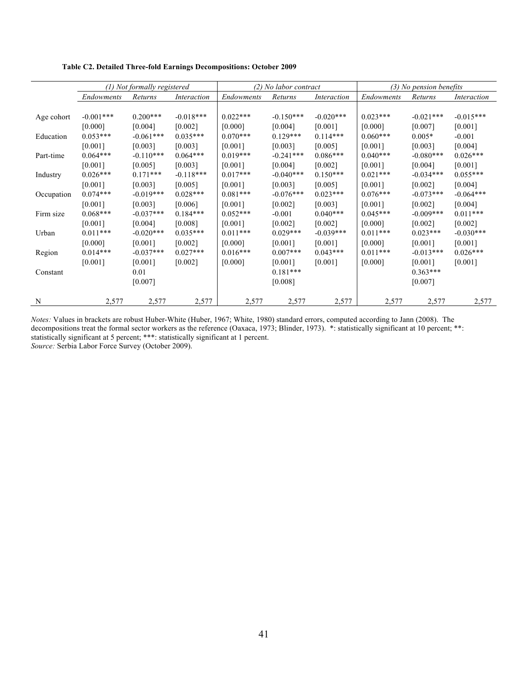|            |                   | (1) Not formally registered |             |            | (2) No labor contract |             | $(3)$ No pension benefits |             |             |
|------------|-------------------|-----------------------------|-------------|------------|-----------------------|-------------|---------------------------|-------------|-------------|
|            | <i>Endowments</i> | Returns                     | Interaction | Endowments | Returns               | Interaction | Endowments                | Returns     | Interaction |
|            |                   |                             |             |            |                       |             |                           |             |             |
| Age cohort | $-0.001***$       | $0.200***$                  | $-0.018***$ | $0.022***$ | $-0.150***$           | $-0.020***$ | $0.023***$                | $-0.021***$ | $-0.015***$ |
|            | [0.000]           | [0.004]                     | [0.002]     | [0.000]    | [0.004]               | [0.001]     | [0.000]                   | [0.007]     | [0.001]     |
| Education  | $0.053***$        | $-0.061***$                 | $0.035***$  | $0.070***$ | $0.129***$            | $0.114***$  | $0.060***$                | $0.005*$    | $-0.001$    |
|            | [0.001]           | [0.003]                     | [0.003]     | [0.001]    | [0.003]               | [0.005]     | [0.001]                   | [0.003]     | [0.004]     |
| Part-time  | $0.064***$        | $-0.110***$                 | $0.064***$  | $0.019***$ | $-0.241***$           | $0.086***$  | $0.040***$                | $-0.080***$ | $0.026***$  |
|            | [0.001]           | [0.005]                     | [0.003]     | $[0.001]$  | [0.004]               | [0.002]     | [0.001]                   | [0.004]     | [0.001]     |
| Industry   | $0.026***$        | $0.171***$                  | $-0.118***$ | $0.017***$ | $-0.040***$           | $0.150***$  | $0.021***$                | $-0.034***$ | $0.055***$  |
|            | [0.001]           | [0.003]                     | [0.005]     | $[0.001]$  | [0.003]               | [0.005]     | [0.001]                   | [0.002]     | [0.004]     |
| Occupation | $0.074***$        | $-0.019***$                 | $0.028***$  | $0.081***$ | $-0.076***$           | $0.023***$  | $0.076***$                | $-0.073***$ | $-0.064***$ |
|            | [0.001]           | [0.003]                     | [0.006]     | [0.001]    | [0.002]               | [0.003]     | [0.001]                   | [0.002]     | [0.004]     |
| Firm size  | $0.068***$        | $-0.037***$                 | $0.184***$  | $0.052***$ | $-0.001$              | $0.040***$  | $0.045***$                | $-0.009***$ | $0.011***$  |
|            | [0.001]           | [0.004]                     | [0.008]     | [0.001]    | [0.002]               | [0.002]     | [0.000]                   | [0.002]     | [0.002]     |
| Urban      | $0.011***$        | $-0.020***$                 | $0.035***$  | $0.011***$ | $0.029***$            | $-0.039***$ | $0.011***$                | $0.023***$  | $-0.030***$ |
|            | [0.000]           | [0.001]                     | [0.002]     | [0.000]    | [0.001]               | [0.001]     | [0.000]                   | [0.001]     | [0.001]     |
| Region     | $0.014***$        | $-0.037***$                 | $0.027***$  | $0.016***$ | $0.007***$            | $0.043***$  | $0.011***$                | $-0.013***$ | $0.026***$  |
|            | [0.001]           | [0.001]                     | [0.002]     | [0.000]    | [0.001]               | [0.001]     | [0.000]                   | [0.001]     | [0.001]     |
| Constant   |                   | 0.01                        |             |            | $0.181***$            |             |                           | $0.363***$  |             |
|            |                   | [0.007]                     |             |            | [0.008]               |             |                           | [0.007]     |             |
|            |                   |                             |             |            |                       |             |                           |             |             |
| N          | 2,577             | 2,577                       | 2,577       | 2,577      | 2,577                 | 2,577       | 2,577                     | 2,577       | 2,577       |

**Table C2. Detailed Three-fold Earnings Decompositions: October 2009**

*Notes:* Values in brackets are robust Huber-White (Huber, 1967; White, 1980) standard errors, computed according to Jann (2008). The decompositions treat the formal sector workers as the reference (Oaxaca, 1973; Blinder, 1973). \*: statistically significant at 10 percent; \*\*: statistically significant at 5 percent; \*\*\*: statistically significant at 1 percent. *Source:* Serbia Labor Force Survey (October 2009).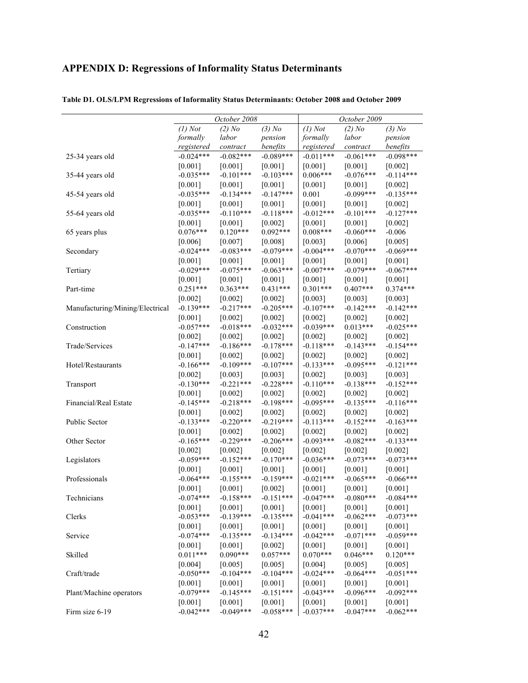### **APPENDIX D: Regressions of Informality Status Determinants**

|                                 | October 2008 |             |             | October 2009 |             |             |
|---------------------------------|--------------|-------------|-------------|--------------|-------------|-------------|
|                                 | $(1)$ Not    | $(2)$ No    | $(3)$ No    | $(1)$ Not    | $(2)$ No    | $(3)$ No    |
|                                 | formally     | labor       | pension     | formally     | labor       | pension     |
|                                 | registered   | contract    | benefits    | registered   | contract    | benefits    |
| 25-34 years old                 | $-0.024***$  | $-0.082***$ | $-0.089***$ | $-0.011***$  | $-0.061***$ | $-0.098***$ |
|                                 | [0.001]      | $[0.001]$   | [0.001]     | [0.001]      | $[0.001]$   | [0.002]     |
| 35-44 years old                 | $-0.035***$  | $-0.101***$ | $-0.103***$ | $0.006***$   | $-0.076***$ | $-0.114***$ |
|                                 | $[0.001]$    | [0.001]     | $[0.001]$   | $[0.001]$    | $[0.001]$   | $[0.002]$   |
| 45-54 years old                 | $-0.035***$  | $-0.134***$ | $-0.147***$ | 0.001        | $-0.099***$ | $-0.135***$ |
|                                 | [0.001]      | $[0.001]$   | $[0.001]$   | [0.001]      | [0.001]     | [0.002]     |
| 55-64 years old                 | $-0.035***$  | $-0.110***$ | $-0.118***$ | $-0.012***$  | $-0.101***$ | $-0.127***$ |
|                                 | $[0.001]$    | $[0.001]$   | [0.002]     | $[0.001]$    | $[0.001]$   | $[0.002]$   |
| 65 years plus                   | $0.076***$   | $0.120***$  | $0.092***$  | $0.008***$   | $-0.060***$ | $-0.006$    |
|                                 | [0.006]      | [0.007]     | [0.008]     | [0.003]      | [0.006]     | [0.005]     |
| Secondary                       | $-0.024***$  | $-0.083***$ | $-0.079***$ | $-0.004***$  | $-0.070***$ | $-0.069***$ |
|                                 | $[0.001]$    | $[0.001]$   | $[0.001]$   | [0.001]      | $[0.001]$   | $[0.001]$   |
| Tertiary                        | $-0.029***$  | $-0.075***$ | $-0.063***$ | $-0.007***$  | $-0.079***$ | $-0.067***$ |
|                                 | $[0.001]$    | [0.001]     | [0.001]     | [0.001]      | [0.001]     | [0.001]     |
| Part-time                       | $0.251***$   | $0.363***$  | $0.431***$  | $0.301***$   | $0.407***$  | $0.374***$  |
|                                 | $[0.002]$    | $[0.002]$   | $[0.002]$   | $[0.003]$    | [0.003]     | [0.003]     |
| Manufacturing/Mining/Electrical | $-0.139***$  | $-0.217***$ | $-0.205***$ | $-0.107***$  | $-0.142***$ | $-0.142***$ |
|                                 | $[0.001]$    | [0.002]     | $[0.002]$   | [0.002]      | $[0.002]$   | $[0.002]$   |
| Construction                    | $-0.057***$  | $-0.018***$ | $-0.032***$ | $-0.039***$  | $0.013***$  | $-0.025***$ |
|                                 | $[0.002]$    | [0.002]     | [0.002]     | $[0.002]$    | $[0.002]$   | $[0.002]$   |
| Trade/Services                  | $-0.147***$  | $-0.186***$ | $-0.178***$ | $-0.118***$  | $-0.143***$ | $-0.154***$ |
|                                 | $[0.001]$    | $[0.002]$   | $[0.002]$   | $[0.002]$    | $[0.002]$   | $[0.002]$   |
| Hotel/Restaurants               | $-0.166***$  | $-0.109***$ | $-0.107***$ | $-0.133***$  | $-0.095***$ | $-0.121***$ |
|                                 | $[0.002]$    | [0.003]     | [0.003]     | $[0.002]$    | [0.003]     | [0.003]     |
| Transport                       | $-0.130***$  | $-0.221***$ | $-0.228***$ | $-0.110***$  | $-0.138***$ | $-0.152***$ |
|                                 | $[0.001]$    | $[0.002]$   | [0.002]     | [0.002]      | $[0.002]$   | [0.002]     |
| Financial/Real Estate           | $-0.145***$  | $-0.218***$ | $-0.198***$ | $-0.095***$  | $-0.135***$ | $-0.116***$ |
|                                 | [0.001]      | $[0.002]$   | $[0.002]$   | $[0.002]$    | $[0.002]$   | $[0.002]$   |
| Public Sector                   | $-0.133***$  | $-0.220***$ | $-0.219***$ | $-0.113***$  | $-0.152***$ | $-0.163***$ |
|                                 | $[0.001]$    | $[0.002]$   | $[0.002]$   | $[0.002]$    | $[0.002]$   | $[0.002]$   |
| Other Sector                    | $-0.165***$  | $-0.229***$ | $-0.206***$ | $-0.093***$  | $-0.082***$ | $-0.133***$ |
|                                 | $[0.002]$    | $[0.002]$   | [0.002]     | $[0.002]$    | $[0.002]$   | $[0.002]$   |
| Legislators                     | $-0.059***$  | $-0.152***$ | $-0.170***$ | $-0.036***$  | $-0.073***$ | $-0.073***$ |
|                                 | $[0.001]$    | $[0.001]$   | $[0.001]$   | $[0.001]$    | $[0.001]$   | $[0.001]$   |
| Professionals                   | $-0.064***$  | $-0.155***$ | $-0.159***$ | $-0.021***$  | $-0.065***$ | $-0.066***$ |
|                                 | [0.001]      | $[0.001]$   | $[0.002]$   | $[0.001]$    | $[0.001]$   | $[0.001]$   |
| Technicians                     | $-0.074***$  | $-0.158***$ | $-0.151***$ | $-0.047***$  | $-0.080***$ | $-0.084***$ |
|                                 | $[0.001]$    | $[0.001]$   | [0.001]     | [0.001]      | [0.001]     | $[0.001]$   |
| Clerks                          | $-0.053***$  | $-0.139***$ | $-0.135***$ | $-0.041***$  | $-0.062***$ | $-0.073***$ |
|                                 | [0.001]      | [0.001]     | $[0.001]$   | [0.001]      | [0.001]     | $[0.001]$   |
| Service                         | $-0.074***$  | $-0.135***$ | $-0.134***$ | $-0.042***$  | $-0.071***$ | $-0.059***$ |
|                                 | [0.001]      | $[0.001]$   | $[0.002]$   | $[0.001]$    | $[0.001]$   | $[0.001]$   |
| Skilled                         | $0.011***$   | $0.090***$  | $0.057***$  | $0.070***$   | $0.046***$  | $0.120***$  |
|                                 | [0.004]      | [0.005]     | [0.005]     | [0.004]      | [0.005]     | [0.005]     |
| Craft/trade                     | $-0.050***$  | $-0.104***$ | $-0.104***$ | $-0.024***$  | $-0.064***$ | $-0.051***$ |
|                                 | [0.001]      | [0.001]     | $[0.001]$   | [0.001]      | $[0.001]$   | $[0.001]$   |
| Plant/Machine operators         | $-0.079***$  | $-0.145***$ | $-0.151***$ | $-0.043***$  | $-0.096***$ | $-0.092***$ |
|                                 | [0.001]      | $[0.001]$   | $[0.001]$   | $[0.001]$    | $[0.001]$   | $[0.001]$   |
| Firm size 6-19                  | $-0.042***$  | $-0.049***$ | $-0.058***$ | $-0.037***$  | $-0.047***$ | $-0.062***$ |

#### **Table D1. OLS/LPM Regressions of Informality Status Determinants: October 2008 and October 2009**